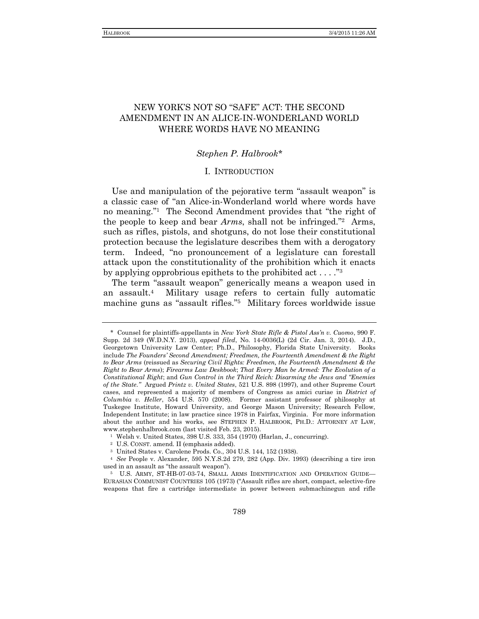# NEW YORK'S NOT SO "SAFE" ACT: THE SECOND AMENDMENT IN AN ALICE-IN-WONDERLAND WORLD WHERE WORDS HAVE NO MEANING

## *Stephen P. Halbrook\**

### I. INTRODUCTION

Use and manipulation of the pejorative term "assault weapon" is a classic case of "an Alice-in-Wonderland world where words have no meaning."<sup>1</sup> The Second Amendment provides that "the right of the people to keep and bear *Arms*, shall not be infringed." 2 Arms, such as rifles, pistols, and shotguns, do not lose their constitutional protection because the legislature describes them with a derogatory term. Indeed, "no pronouncement of a legislature can forestall attack upon the constitutionality of the prohibition which it enacts by applying opprobrious epithets to the prohibited act  $\dots$ ."<sup>3</sup>

The term "assault weapon" generically means a weapon used in an assault.<sup>4</sup> Military usage refers to certain fully automatic machine guns as "assault rifles." 5 Military forces worldwide issue

<sup>\*</sup> Counsel for plaintiffs-appellants in *New York State Rifle & Pistol Ass'n v. Cuomo*, 990 F. Supp. 2d 349 (W.D.N.Y. 2013), *appeal filed*, No. 14-0036(L) (2d Cir. Jan. 3, 2014). J.D., Georgetown University Law Center; Ph.D., Philosophy, Florida State University. Books include *The Founders' Second Amendment; Freedmen, the Fourteenth Amendment & the Right to Bear Arms* (reissued as *Securing Civil Rights: Freedmen, the Fourteenth Amendment & the Right to Bear Arms*); *Firearms Law Deskbook*; *That Every Man be Armed: The Evolution of a Constitutional Right*; and *Gun Control in the Third Reich: Disarming the Jews and "Enemies of the State*.*"* Argued *Printz v. United States*, 521 U.S. 898 (1997), and other Supreme Court cases, and represented a majority of members of Congress as amici curiae in *District of Columbia v. Heller*, 554 U.S. 570 (2008). Former assistant professor of philosophy at Tuskegee Institute, Howard University, and George Mason University; Research Fellow, Independent Institute; in law practice since 1978 in Fairfax, Virginia. For more information about the author and his works, see STEPHEN P. HALBROOK, PH.D.: ATTORNEY AT LAW, www.stephenhalbrook.com (last visited Feb. 23, 2015).

<sup>1</sup> Welsh v. United States, 398 U.S. 333, 354 (1970) (Harlan, J., concurring).

<sup>2</sup> U.S. CONST. amend. II (emphasis added).

<sup>3</sup> United States v. Carolene Prods. Co., 304 U.S. 144, 152 (1938).

<sup>4</sup> *See* People v. Alexander, 595 N.Y.S.2d 279, 282 (App. Div. 1993) (describing a tire iron used in an assault as "the assault weapon").

<sup>5</sup> U.S. ARMY, ST-HB-07-03-74, SMALL ARMS IDENTIFICATION AND OPERATION GUIDE— EURASIAN COMMUNIST COUNTRIES 105 (1973) ("Assault rifles are short, compact, selective-fire weapons that fire a cartridge intermediate in power between submachinegun and rifle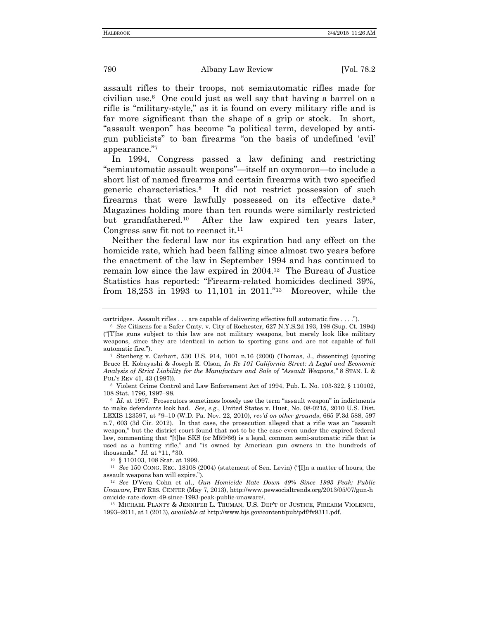assault rifles to their troops, not semiautomatic rifles made for civilian use.<sup>6</sup> One could just as well say that having a barrel on a rifle is "military-style," as it is found on every military rifle and is far more significant than the shape of a grip or stock. In short, "assault weapon" has become "a political term, developed by antigun publicists" to ban firearms "on the basis of undefined 'evil' appearance." 7

In 1994, Congress passed a law defining and restricting "semiautomatic assault weapons"—itself an oxymoron—to include a short list of named firearms and certain firearms with two specified generic characteristics.<sup>8</sup> It did not restrict possession of such firearms that were lawfully possessed on its effective date.<sup>9</sup> Magazines holding more than ten rounds were similarly restricted but grandfathered.<sup>10</sup> After the law expired ten years later, Congress saw fit not to reenact it.<sup>11</sup>

Neither the federal law nor its expiration had any effect on the homicide rate, which had been falling since almost two years before the enactment of the law in September 1994 and has continued to remain low since the law expired in 2004.<sup>12</sup> The Bureau of Justice Statistics has reported: "Firearm-related homicides declined 39%, from 18,253 in 1993 to 11,101 in 2011." 13 Moreover, while the

<sup>10</sup> § 110103, 108 Stat. at 1999.

<sup>11</sup> *See* 150 CONG. REC. 18108 (2004) (statement of Sen. Levin) ("[I]n a matter of hours, the assault weapons ban will expire.").

<sup>12</sup> *See* D'Vera Cohn et al., *Gun Homicide Rate Down 49% Since 1993 Peak; Public Unaware*, PEW RES. CENTER (May 7, 2013), http://www.pewsocialtrends.org/2013/05/07/gun-h omicide-rate-down-49-since-1993-peak-public-unaware/.

<sup>13</sup> MICHAEL PLANTY & JENNIFER L. TRUMAN, U.S. DEP'T OF JUSTICE, FIREARM VIOLENCE, 1993–2011, at 1 (2013), *available at* http://www.bjs.gov/content/pub/pdf/fv9311.pdf.

cartridges. Assault rifles . . . are capable of delivering effective full automatic fire . . . .").

<sup>6</sup> *See* Citizens for a Safer Cmty. v. City of Rochester, 627 N.Y.S.2d 193, 198 (Sup. Ct. 1994) ("[T]he guns subject to this law are not military weapons, but merely look like military weapons, since they are identical in action to sporting guns and are not capable of full automatic fire.").

<sup>7</sup> Stenberg v. Carhart, 530 U.S. 914, 1001 n.16 (2000) (Thomas, J., dissenting) (quoting Bruce H. Kobayashi & Joseph E. Olson, *In Re 101 California Street: A Legal and Economic Analysis of Strict Liability for the Manufacture and Sale of "Assault Weapons*,*"* 8 STAN. L & POL'Y REV 41, 43 (1997)).

<sup>8</sup> Violent Crime Control and Law Enforcement Act of 1994, Pub. L. No. 103-322, § 110102, 108 Stat. 1796, 1997–98.

<sup>&</sup>lt;sup>9</sup> *Id.* at 1997. Prosecutors sometimes loosely use the term "assault weapon" in indictments to make defendants look bad. *See, e.g.*, United States v. Huet, No. 08-0215, 2010 U.S. Dist. LEXIS 123597, at \*9–10 (W.D. Pa. Nov. 22, 2010), *rev'd on other grounds*, 665 F.3d 588, 597 n.7, 603 (3d Cir. 2012). In that case, the prosecution alleged that a rifle was an "assault weapon," but the district court found that not to be the case even under the expired federal law, commenting that "[t]he SKS (or M59/66) is a legal, common semi-automatic rifle that is used as a hunting rifle," and "is owned by American gun owners in the hundreds of thousands." *Id.* at \*11, \*30.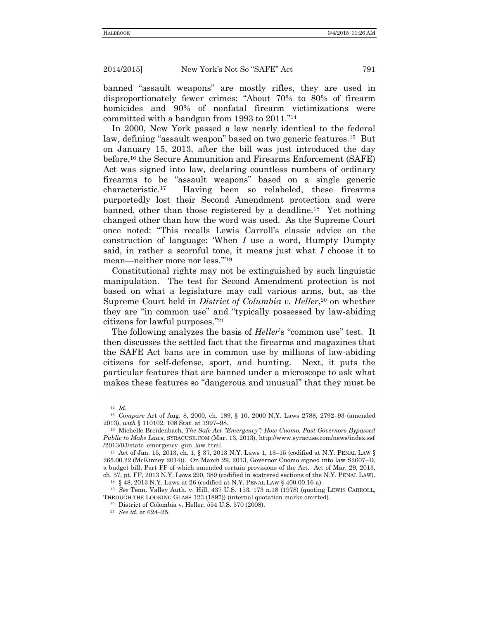banned "assault weapons" are mostly rifles, they are used in disproportionately fewer crimes: "About 70% to 80% of firearm homicides and 90% of nonfatal firearm victimizations were committed with a handgun from 1993 to 2011." 14

In 2000, New York passed a law nearly identical to the federal law, defining "assault weapon" based on two generic features.<sup>15</sup> But on January 15, 2013, after the bill was just introduced the day before,<sup>16</sup> the Secure Ammunition and Firearms Enforcement (SAFE) Act was signed into law, declaring countless numbers of ordinary firearms to be "assault weapons" based on a single generic characteristic.<sup>17</sup> Having been so relabeled, these firearms purportedly lost their Second Amendment protection and were banned, other than those registered by a deadline.<sup>18</sup> Yet nothing changed other than how the word was used. As the Supreme Court once noted: "This recalls Lewis Carroll's classic advice on the construction of language: 'When *I* use a word, Humpty Dumpty said, in rather a scornful tone, it means just what *I* choose it to mean—neither more nor less.'" 19

Constitutional rights may not be extinguished by such linguistic manipulation. The test for Second Amendment protection is not based on what a legislature may call various arms, but, as the Supreme Court held in *District of Columbia v. Heller*, <sup>20</sup> on whether they are "in common use" and "typically possessed by law-abiding citizens for lawful purposes." 21

The following analyzes the basis of *Heller*'s "common use" test. It then discusses the settled fact that the firearms and magazines that the SAFE Act bans are in common use by millions of law-abiding citizens for self-defense, sport, and hunting. Next, it puts the particular features that are banned under a microscope to ask what makes these features so "dangerous and unusual" that they must be

<sup>14</sup> *Id.*

<sup>15</sup> *Compare* Act of Aug. 8, 2000, ch. 189, § 10, 2000 N.Y. Laws 2788, 2792–93 (amended 2013), *with* § 110102, 108 Stat. at 1997–98.

<sup>16</sup> Michelle Breidenbach, *The Safe Act "Emergency": How Cuomo, Past Governors Bypassed Public to Make Laws*, SYRACUSE.COM (Mar. 13, 2013), http://www.syracuse.com/news/index.ssf /2013/03/state\_emergency\_gun\_law.html.

<sup>17</sup> Act of Jan. 15, 2013, ch. 1, § 37, 2013 N.Y. Laws 1, 13–15 (codified at N.Y. PENAL LAW § 265.00.22 (McKinney 2014)). On March 29, 2013, Governor Cuomo signed into law S2607–D, a budget bill, Part FF of which amended certain provisions of the Act. Act of Mar. 29, 2013, ch. 57, pt. FF, 2013 N.Y. Laws 290, 389 (codified in scattered sections of the N.Y. PENAL LAW).

<sup>18</sup> § 48, 2013 N.Y. Laws at 26 (codified at N.Y. PENAL LAW § 400.00.16-a).

<sup>19</sup> *See* Tenn. Valley Auth. v. Hill, 437 U.S. 153, 173 n.18 (1978) (quoting LEWIS CARROLL, THROUGH THE LOOKING GLASS 123 (1897)) (internal quotation marks omitted).

<sup>20</sup> District of Colombia v. Heller, 554 U.S. 570 (2008).

<sup>21</sup> *See id.* at 624–25.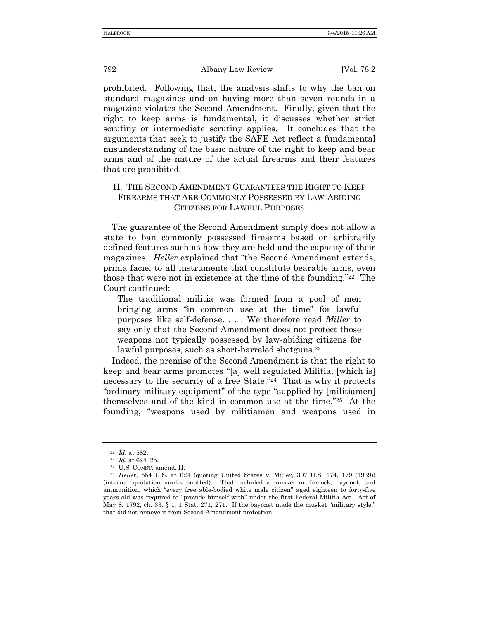prohibited. Following that, the analysis shifts to why the ban on standard magazines and on having more than seven rounds in a magazine violates the Second Amendment. Finally, given that the right to keep arms is fundamental, it discusses whether strict scrutiny or intermediate scrutiny applies. It concludes that the arguments that seek to justify the SAFE Act reflect a fundamental misunderstanding of the basic nature of the right to keep and bear arms and of the nature of the actual firearms and their features that are prohibited.

## II. THE SECOND AMENDMENT GUARANTEES THE RIGHT TO KEEP FIREARMS THAT ARE COMMONLY POSSESSED BY LAW-ABIDING CITIZENS FOR LAWFUL PURPOSES

The guarantee of the Second Amendment simply does not allow a state to ban commonly possessed firearms based on arbitrarily defined features such as how they are held and the capacity of their magazines. *Heller* explained that "the Second Amendment extends, prima facie, to all instruments that constitute bearable arms, even those that were not in existence at the time of the founding."<sup>22</sup> The Court continued:

The traditional militia was formed from a pool of men bringing arms "in common use at the time" for lawful purposes like self-defense. . . . We therefore read *Miller* to say only that the Second Amendment does not protect those weapons not typically possessed by law-abiding citizens for lawful purposes, such as short-barreled shotguns.<sup>23</sup>

Indeed, the premise of the Second Amendment is that the right to keep and bear arms promotes "[a] well regulated Militia, [which is] necessary to the security of a free State." 24 That is why it protects "ordinary military equipment" of the type "supplied by [militiamen] themselves and of the kind in common use at the time." 25 At the founding, "weapons used by militiamen and weapons used in

<sup>22</sup> *Id.* at 582.

<sup>23</sup> *Id.* at 624–25.

<sup>24</sup> U.S. CONST. amend. II.

<sup>25</sup> *Heller*, 554 U.S. at 624 (quoting United States v. Miller, 307 U.S. 174, 179 (1939)) (internal quotation marks omitted). That included a musket or firelock, bayonet, and ammunition, which "every free able-bodied white male citizen" aged eighteen to forty-five years old was required to "provide himself with" under the first Federal Militia Act. Act of May 8, 1792, ch. 33, § 1, 1 Stat. 271, 271. If the bayonet made the musket "military style," that did not remove it from Second Amendment protection.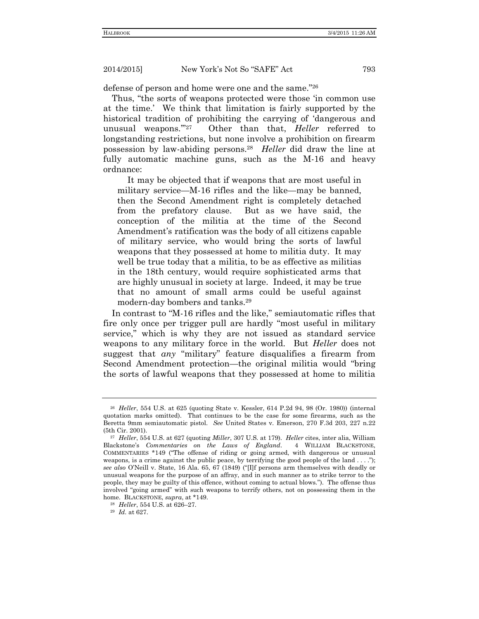defense of person and home were one and the same." 26

Thus, "the sorts of weapons protected were those 'in common use at the time.' We think that limitation is fairly supported by the historical tradition of prohibiting the carrying of 'dangerous and unusual weapons.'" 27 Other than that, *Heller* referred to longstanding restrictions, but none involve a prohibition on firearm possession by law-abiding persons.<sup>28</sup> *Heller* did draw the line at fully automatic machine guns, such as the M-16 and heavy ordnance:

It may be objected that if weapons that are most useful in military service—M-16 rifles and the like—may be banned, then the Second Amendment right is completely detached from the prefatory clause. But as we have said, the conception of the militia at the time of the Second Amendment's ratification was the body of all citizens capable of military service, who would bring the sorts of lawful weapons that they possessed at home to militia duty. It may well be true today that a militia, to be as effective as militias in the 18th century, would require sophisticated arms that are highly unusual in society at large. Indeed, it may be true that no amount of small arms could be useful against modern-day bombers and tanks.<sup>29</sup>

In contrast to "M-16 rifles and the like," semiautomatic rifles that fire only once per trigger pull are hardly "most useful in military service," which is why they are not issued as standard service weapons to any military force in the world. But *Heller* does not suggest that *any* "military" feature disqualifies a firearm from Second Amendment protection—the original militia would "bring the sorts of lawful weapons that they possessed at home to militia

<sup>26</sup> *Heller*, 554 U.S. at 625 (quoting State v. Kessler, 614 P.2d 94, 98 (Or. 1980)) (internal quotation marks omitted). That continues to be the case for some firearms, such as the Beretta 9mm semiautomatic pistol. *See* United States v. Emerson, 270 F.3d 203, 227 n.22 (5th Cir. 2001).

<sup>27</sup> *Heller*, 554 U.S. at 627 (quoting *Miller*, 307 U.S. at 179). *Heller* cites, inter alia, William Blackstone's *Commentaries on the Laws of England*. 4 WILLIAM BLACKSTONE, COMMENTARIES \*149 ("The offense of riding or going armed, with dangerous or unusual weapons, is a crime against the public peace, by terrifying the good people of the land . . . ."); *see also* O'Neill v. State, 16 Ala. 65, 67 (1849) ("[I]f persons arm themselves with deadly or unusual weapons for the purpose of an affray, and in such manner as to strike terror to the people, they may be guilty of this offence, without coming to actual blows."). The offense thus involved "going armed" with such weapons to terrify others, not on possessing them in the home. BLACKSTONE, *supra*, at \*149.

<sup>28</sup> *Heller*, 554 U.S. at 626–27.

<sup>29</sup> *Id.* at 627.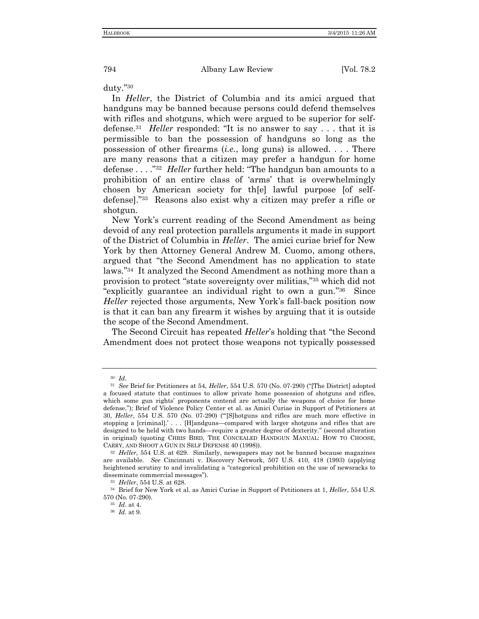duty." 30

In *Heller*, the District of Columbia and its amici argued that handguns may be banned because persons could defend themselves with rifles and shotguns, which were argued to be superior for selfdefense.<sup>31</sup> *Heller* responded: "It is no answer to say . . . that it is permissible to ban the possession of handguns so long as the possession of other firearms (*i.e.*, long guns) is allowed. . . . There are many reasons that a citizen may prefer a handgun for home defense . . . ."<sup>32</sup> *Heller* further held: "The handgun ban amounts to a prohibition of an entire class of 'arms' that is overwhelmingly chosen by American society for th[e] lawful purpose [of selfdefense]." 33 Reasons also exist why a citizen may prefer a rifle or shotgun.

New York's current reading of the Second Amendment as being devoid of any real protection parallels arguments it made in support of the District of Columbia in *Heller*. The amici curiae brief for New York by then Attorney General Andrew M. Cuomo, among others, argued that "the Second Amendment has no application to state laws." 34 It analyzed the Second Amendment as nothing more than a provision to protect "state sovereignty over militias," <sup>35</sup> which did not "explicitly guarantee an individual right to own a gun." 36 Since *Heller* rejected those arguments, New York's fall-back position now is that it can ban any firearm it wishes by arguing that it is outside the scope of the Second Amendment.

The Second Circuit has repeated *Heller*'s holding that "the Second Amendment does not protect those weapons not typically possessed

<sup>30</sup> *Id.*

<sup>31</sup> *See* Brief for Petitioners at 54, *Heller*, 554 U.S. 570 (No. 07-290) ("[The District] adopted a focused statute that continues to allow private home possession of shotguns and rifles, which some gun rights' proponents contend are actually the weapons of choice for home defense."); Brief of Violence Policy Center et al. as Amici Curiae in Support of Petitioners at 30, *Heller*, 554 U.S. 570 (No. 07-290) ("'[S]hotguns and rifles are much more effective in stopping a [criminal].' . . . [H]andguns—compared with larger shotguns and rifles that are designed to be held with two hands—require a greater degree of dexterity." (second alteration in original) (quoting CHRIS BIRD, THE CONCEALED HANDGUN MANUAL: HOW TO CHOOSE, CARRY, AND SHOOT A GUN IN SELF DEFENSE 40 (1998)).

<sup>32</sup> *Heller,* 554 U.S. at 629. Similarly, newspapers may not be banned because magazines are available. *See* Cincinnati v. Discovery Network, 507 U.S. 410, 418 (1993) (applying heightened scrutiny to and invalidating a "categorical prohibition on the use of newsracks to disseminate commercial messages").

<sup>33</sup> *Heller*, 554 U.S. at 628.

<sup>34</sup> Brief for New York et al. as Amici Curiae in Support of Petitioners at 1, *Heller*, 554 U.S. 570 (No. 07-290).

<sup>35</sup> *Id*. at 4.

<sup>36</sup> *Id*. at 9.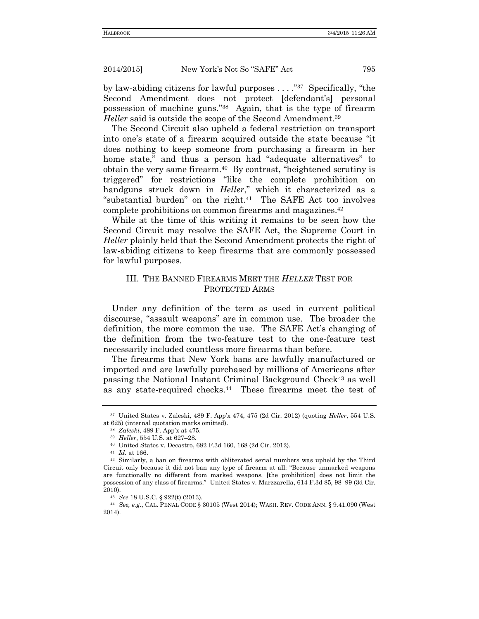by law-abiding citizens for lawful purposes . . . . "<sup>37</sup> Specifically, "the Second Amendment does not protect [defendant's] personal possession of machine guns." 38 Again, that is the type of firearm *Heller* said is outside the scope of the Second Amendment.<sup>39</sup>

The Second Circuit also upheld a federal restriction on transport into one's state of a firearm acquired outside the state because "it does nothing to keep someone from purchasing a firearm in her home state," and thus a person had "adequate alternatives" to obtain the very same firearm.<sup>40</sup> By contrast, "heightened scrutiny is triggered" for restrictions "like the complete prohibition on handguns struck down in *Heller*," which it characterized as a "substantial burden" on the right. $41$  The SAFE Act too involves complete prohibitions on common firearms and magazines.<sup>42</sup>

While at the time of this writing it remains to be seen how the Second Circuit may resolve the SAFE Act, the Supreme Court in *Heller* plainly held that the Second Amendment protects the right of law-abiding citizens to keep firearms that are commonly possessed for lawful purposes.

## III. THE BANNED FIREARMS MEET THE *HELLER* TEST FOR PROTECTED ARMS

Under any definition of the term as used in current political discourse, "assault weapons" are in common use. The broader the definition, the more common the use. The SAFE Act's changing of the definition from the two-feature test to the one-feature test necessarily included countless more firearms than before.

The firearms that New York bans are lawfully manufactured or imported and are lawfully purchased by millions of Americans after passing the National Instant Criminal Background Check<sup>43</sup> as well as any state-required checks.<sup>44</sup> These firearms meet the test of

<sup>37</sup> United States v. Zaleski, 489 F. App'x 474, 475 (2d Cir. 2012) (quoting *Heller*, 554 U.S. at 625) (internal quotation marks omitted).

<sup>38</sup> *Zaleski*, 489 F. App'x at 475.

<sup>39</sup> *Heller*, 554 U.S. at 627–28.

<sup>40</sup> United States v. Decastro, 682 F.3d 160, 168 (2d Cir. 2012).

<sup>41</sup> *Id.* at 166.

<sup>42</sup> Similarly, a ban on firearms with obliterated serial numbers was upheld by the Third Circuit only because it did not ban any type of firearm at all: "Because unmarked weapons are functionally no different from marked weapons, [the prohibition] does not limit the possession of any class of firearms." United States v. Marzzarella, 614 F.3d 85, 98–99 (3d Cir. 2010).

<sup>43</sup> *See* 18 U.S.C. § 922(t) (2013).

<sup>44</sup> *See, e.g.*, CAL. PENAL CODE § 30105 (West 2014); WASH. REV. CODE ANN. § 9.41.090 (West 2014).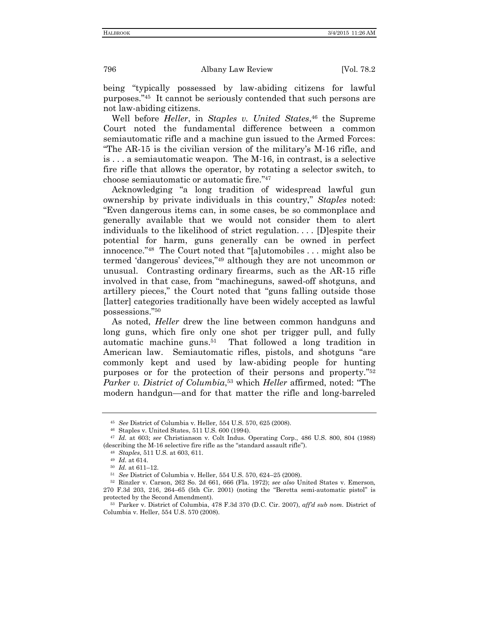being "typically possessed by law-abiding citizens for lawful purposes." 45 It cannot be seriously contended that such persons are not law-abiding citizens.

Well before *Heller*, in *Staples v. United States*, <sup>46</sup> the Supreme Court noted the fundamental difference between a common semiautomatic rifle and a machine gun issued to the Armed Forces: "The AR-15 is the civilian version of the military's M-16 rifle, and is . . . a semiautomatic weapon. The M-16, in contrast, is a selective fire rifle that allows the operator, by rotating a selector switch, to choose semiautomatic or automatic fire." 47

Acknowledging "a long tradition of widespread lawful gun ownership by private individuals in this country," *Staples* noted: "Even dangerous items can, in some cases, be so commonplace and generally available that we would not consider them to alert individuals to the likelihood of strict regulation. . . . [D]espite their potential for harm, guns generally can be owned in perfect innocence." <sup>48</sup> The Court noted that "[a]utomobiles . . . might also be termed 'dangerous' devices," <sup>49</sup> although they are not uncommon or unusual. Contrasting ordinary firearms, such as the AR-15 rifle involved in that case, from "machineguns, sawed-off shotguns, and artillery pieces," the Court noted that "guns falling outside those [latter] categories traditionally have been widely accepted as lawful possessions." 50

As noted, *Heller* drew the line between common handguns and long guns, which fire only one shot per trigger pull, and fully automatic machine guns.<sup>51</sup> That followed a long tradition in American law. Semiautomatic rifles, pistols, and shotguns "are commonly kept and used by law-abiding people for hunting purposes or for the protection of their persons and property." 52 *Parker v. District of Columbia*, <sup>53</sup> which *Heller* affirmed, noted: "The modern handgun—and for that matter the rifle and long-barreled

<sup>45</sup> *See* District of Columbia v. Heller*,* 554 U.S. 570, 625 (2008).

<sup>46</sup> Staples v. United States, 511 U.S. 600 (1994).

<sup>47</sup> *Id.* at 603; *see* Christianson v. Colt Indus. Operating Corp., 486 U.S. 800, 804 (1988) (describing the M-16 selective fire rifle as the "standard assault rifle").

<sup>48</sup> *Staples*, 511 U.S. at 603, 611.

<sup>49</sup> *Id.* at 614.

<sup>50</sup> *Id.* at 611–12.

<sup>51</sup> *See* District of Columbia v. Heller, 554 U.S. 570, 624–25 (2008).

<sup>52</sup> Rinzler v. Carson, 262 So. 2d 661, 666 (Fla. 1972); *see also* United States v. Emerson*,* 270 F.3d 203, 216, 264–65 (5th Cir. 2001) (noting the "Beretta semi-automatic pistol" is protected by the Second Amendment).

<sup>53</sup> Parker v. District of Columbia, 478 F.3d 370 (D.C. Cir. 2007), *aff'd sub nom.* District of Columbia v. Heller, 554 U.S. 570 (2008).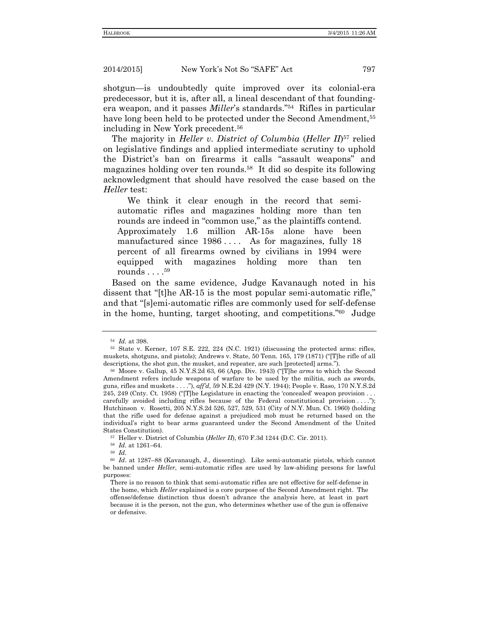shotgun—is undoubtedly quite improved over its colonial-era predecessor, but it is, after all, a lineal descendant of that foundingera weapon, and it passes *Miller*'s standards." 54 Rifles in particular have long been held to be protected under the Second Amendment,<sup>55</sup> including in New York precedent.<sup>56</sup>

The majority in *Heller v. District of Columbia* (*Heller II*) <sup>57</sup> relied on legislative findings and applied intermediate scrutiny to uphold the District's ban on firearms it calls "assault weapons" and magazines holding over ten rounds.<sup>58</sup> It did so despite its following acknowledgment that should have resolved the case based on the *Heller* test:

We think it clear enough in the record that semiautomatic rifles and magazines holding more than ten rounds are indeed in "common use," as the plaintiffs contend. Approximately 1.6 million AR-15s alone have been manufactured since 1986.... As for magazines, fully 18 percent of all firearms owned by civilians in 1994 were equipped with magazines holding more than ten rounds . . . . 59

Based on the same evidence, Judge Kavanaugh noted in his dissent that "[t]he AR-15 is the most popular semi-automatic rifle," and that "[s]emi-automatic rifles are commonly used for self-defense in the home, hunting, target shooting, and competitions." 60 Judge

<sup>59</sup> *Id.*

<sup>54</sup> *Id.* at 398.

<sup>55</sup> State v. Kerner, 107 S.E. 222, 224 (N.C. 1921) (discussing the protected arms: rifles, muskets, shotguns, and pistols); Andrews v. State, 50 Tenn. 165, 179 (1871) ("[T]he rifle of all descriptions, the shot gun, the musket, and repeater, are such [protected] arms.").

<sup>56</sup> Moore v. Gallup, 45 N.Y.S.2d 63, 66 (App. Div. 1943) ("[T]he *arms* to which the Second Amendment refers include weapons of warfare to be used by the militia, such as swords, guns, rifles and muskets . . . ."), *aff'd*, 59 N.E.2d 429 (N.Y. 1944); People v. Raso*,* 170 N.Y.S.2d 245, 249 (Cnty. Ct. 1958) ("[T]he Legislature in enacting the 'concealed' weapon provision . . . carefully avoided including rifles because of the Federal constitutional provision ...."); Hutchinson v. Rosetti, 205 N.Y.S.2d 526, 527, 529, 531 (City of N.Y. Mun. Ct. 1960) (holding that the rifle used for defense against a prejudiced mob must be returned based on the individual's right to bear arms guaranteed under the Second Amendment of the United States Constitution).

<sup>57</sup> Heller v. District of Columbia (*Heller II*), 670 F.3d 1244 (D.C. Cir. 2011).

<sup>58</sup> *Id.* at 1261–64.

<sup>60</sup> *Id*. at 1287–88 (Kavanaugh, J., dissenting). Like semi-automatic pistols, which cannot be banned under *Heller*, semi-automatic rifles are used by law-abiding persons for lawful purposes:

There is no reason to think that semi-automatic rifles are not effective for self-defense in the home, which *Heller* explained is a core purpose of the Second Amendment right. The offense/defense distinction thus doesn't advance the analysis here, at least in part because it is the person, not the gun, who determines whether use of the gun is offensive or defensive.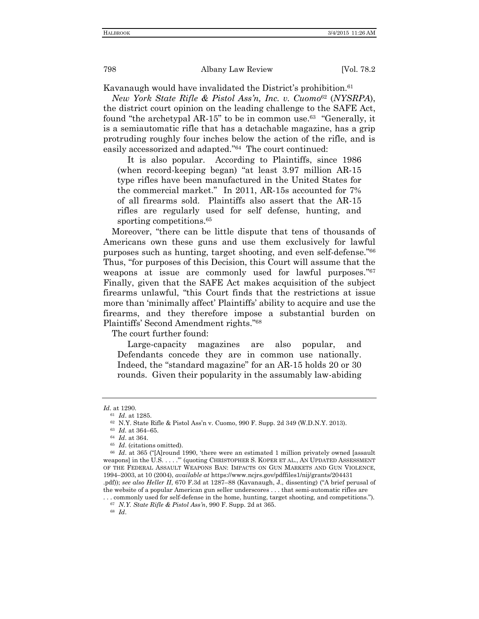Kavanaugh would have invalidated the District's prohibition.<sup>61</sup>

*New York State Rifle & Pistol Ass'n, Inc. v. Cuomo*<sup>62</sup> (*NYSRPA*), the district court opinion on the leading challenge to the SAFE Act, found "the archetypal AR-15" to be in common use.<sup>63</sup> "Generally, it is a semiautomatic rifle that has a detachable magazine, has a grip protruding roughly four inches below the action of the rifle, and is easily accessorized and adapted." 64 The court continued:

It is also popular. According to Plaintiffs, since 1986 (when record-keeping began) "at least 3.97 million AR-15 type rifles have been manufactured in the United States for the commercial market." In 2011, AR-15s accounted for 7% of all firearms sold. Plaintiffs also assert that the AR-15 rifles are regularly used for self defense, hunting, and sporting competitions.<sup>65</sup>

Moreover, "there can be little dispute that tens of thousands of Americans own these guns and use them exclusively for lawful purposes such as hunting, target shooting, and even self-defense." 66 Thus, "for purposes of this Decision, this Court will assume that the weapons at issue are commonly used for lawful purposes." 67 Finally, given that the SAFE Act makes acquisition of the subject firearms unlawful, "this Court finds that the restrictions at issue more than 'minimally affect' Plaintiffs' ability to acquire and use the firearms, and they therefore impose a substantial burden on Plaintiffs' Second Amendment rights." 68

The court further found:

Large-capacity magazines are also popular, and Defendants concede they are in common use nationally. Indeed, the "standard magazine" for an AR-15 holds 20 or 30 rounds. Given their popularity in the assumably law-abiding

<sup>63</sup> *Id.* at 364–65.

*Id*. at 1290.

<sup>61</sup> *Id*. at 1285.

<sup>62</sup> N.Y. State Rifle & Pistol Ass'n v. Cuomo, 990 F. Supp. 2d 349 (W.D.N.Y. 2013).

<sup>64</sup> *Id*. at 364.

<sup>65</sup> *Id*. (citations omitted).

<sup>&</sup>lt;sup>66</sup> Id. at 365 ("[A]round 1990, 'there were an estimated 1 million privately owned [assault weapons] in the U.S. . . . .'" (quoting CHRISTOPHER S. KOPER ET AL., AN UPDATED ASSESSMENT OF THE FEDERAL ASSAULT WEAPONS BAN: IMPACTS ON GUN MARKETS AND GUN VIOLENCE, 1994–2003, at 10 (2004), *available at* https://www.ncjrs.gov/pdffiles1/nij/grants/204431 .pdf)); *see also Heller II*, 670 F.3d at 1287–88 (Kavanaugh, J., dissenting) ("A brief perusal of the website of a popular American gun seller underscores . . . that semi-automatic rifles are

<sup>. . .</sup> commonly used for self-defense in the home, hunting, target shooting, and competitions."). <sup>67</sup> *N.Y. State Rifle & Pistol Ass'n*, 990 F. Supp. 2d at 365.

<sup>68</sup> *Id*.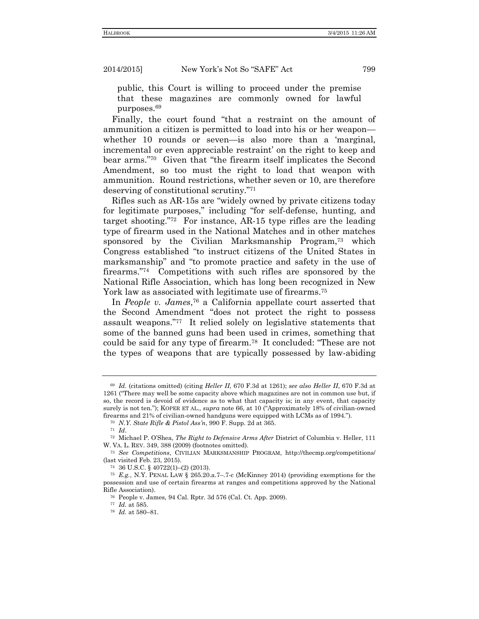public, this Court is willing to proceed under the premise that these magazines are commonly owned for lawful purposes.<sup>69</sup>

Finally, the court found "that a restraint on the amount of ammunition a citizen is permitted to load into his or her weapon whether 10 rounds or seven—is also more than a 'marginal, incremental or even appreciable restraint' on the right to keep and bear arms." 70 Given that "the firearm itself implicates the Second Amendment, so too must the right to load that weapon with ammunition. Round restrictions, whether seven or 10, are therefore deserving of constitutional scrutiny." 71

Rifles such as AR-15s are "widely owned by private citizens today for legitimate purposes," including "for self-defense, hunting, and target shooting." 72 For instance, AR-15 type rifles are the leading type of firearm used in the National Matches and in other matches sponsored by the Civilian Marksmanship Program, <sup>73</sup> which Congress established "to instruct citizens of the United States in marksmanship" and "to promote practice and safety in the use of firearms." 74 Competitions with such rifles are sponsored by the National Rifle Association, which has long been recognized in New York law as associated with legitimate use of firearms.<sup>75</sup>

In *People v. James*, <sup>76</sup> a California appellate court asserted that the Second Amendment "does not protect the right to possess assault weapons." 77 It relied solely on legislative statements that some of the banned guns had been used in crimes, something that could be said for any type of firearm.<sup>78</sup> It concluded: "These are not the types of weapons that are typically possessed by law-abiding

<sup>69</sup> *Id.* (citations omitted) (citing *Heller II*, 670 F.3d at 1261); *see also Heller II*, 670 F.3d at 1261 ("There may well be some capacity above which magazines are not in common use but, if so, the record is devoid of evidence as to what that capacity is; in any event, that capacity surely is not ten."); KOPER ET AL., *supra* note 66, at 10 ("Approximately 18% of civilian-owned firearms and 21% of civilian-owned handguns were equipped with LCMs as of 1994.").

<sup>70</sup> *N.Y. State Rifle & Pistol Ass'n*, 990 F. Supp. 2d at 365.

<sup>71</sup> *Id*.

<sup>72</sup> Michael P. O'Shea, *The Right to Defensive Arms After* District of Columbia v. Heller, 111 W. VA. L. REV. 349, 388 (2009) (footnotes omitted).

<sup>73</sup> *See Competitions*, CIVILIAN MARKSMANSHIP PROGRAM, http://thecmp.org/competitions/ (last visited Feb. 23, 2015).

<sup>74</sup> 36 U.S.C. § 40722(1)–(2) (2013).

<sup>75</sup> *E.g.*, N.Y. PENAL LAW § 265.20.a.7–.7-c (McKinney 2014) (providing exemptions for the possession and use of certain firearms at ranges and competitions approved by the National Rifle Association).

<sup>76</sup> People v. James, 94 Cal. Rptr. 3d 576 (Cal. Ct. App. 2009).

<sup>77</sup> *Id.* at 585.

<sup>78</sup> *Id.* at 580–81.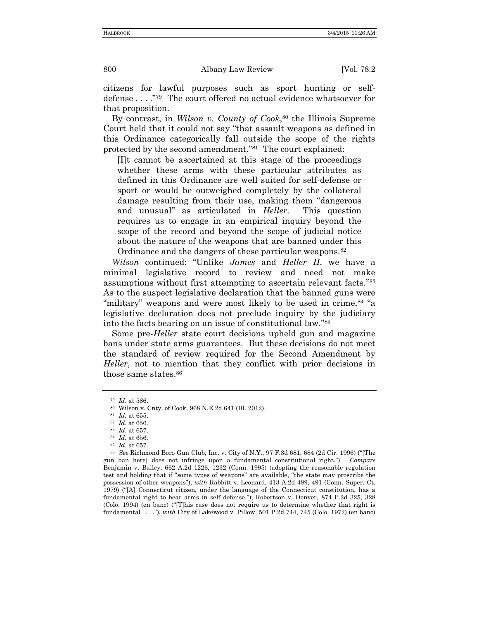citizens for lawful purposes such as sport hunting or selfdefense . . . ."<sup>79</sup> The court offered no actual evidence whatsoever for that proposition.

By contrast, in *Wilson v. County of Cook*, <sup>80</sup> the Illinois Supreme Court held that it could not say "that assault weapons as defined in this Ordinance categorically fall outside the scope of the rights protected by the second amendment." 81 The court explained:

[I]t cannot be ascertained at this stage of the proceedings whether these arms with these particular attributes as defined in this Ordinance are well suited for self-defense or sport or would be outweighed completely by the collateral damage resulting from their use, making them "dangerous and unusual" as articulated in *Heller*. This question requires us to engage in an empirical inquiry beyond the scope of the record and beyond the scope of judicial notice about the nature of the weapons that are banned under this Ordinance and the dangers of these particular weapons.<sup>82</sup>

*Wilson* continued: "Unlike *James* and *Heller II*, we have a minimal legislative record to review and need not make assumptions without first attempting to ascertain relevant facts." 83 As to the suspect legislative declaration that the banned guns were "military" weapons and were most likely to be used in crime,  $84$  "a legislative declaration does not preclude inquiry by the judiciary into the facts bearing on an issue of constitutional law." 85

Some pre-*Heller* state court decisions upheld gun and magazine bans under state arms guarantees. But these decisions do not meet the standard of review required for the Second Amendment by *Heller*, not to mention that they conflict with prior decisions in those same states.<sup>86</sup>

<sup>79</sup> *Id*. at 586.

<sup>80</sup> Wilson v. Cnty. of Cook, 968 N.E.2d 641 (Ill. 2012).

<sup>81</sup> *Id.* at 655.

<sup>82</sup> *Id*. at 656.

<sup>83</sup> *Id*. at 657.

<sup>84</sup> *Id.* at 656.

<sup>85</sup> *Id.* at 657.

<sup>86</sup> *See* Richmond Boro Gun Club, Inc. v. City of N.Y., 97 F.3d 681, 684 (2d Cir. 1996) ("[The gun ban here] does not infringe upon a fundamental constitutional right."). *Compare* Benjamin v. Bailey, 662 A.2d 1226, 1232 (Conn. 1995) (adopting the reasonable regulation test and holding that if "some types of weapons" are available, "the state may proscribe the possession of other weapons"), *with* Rabbitt v. Leonard, 413 A.2d 489, 491 (Conn. Super. Ct. 1979) ("[A] Connecticut citizen, under the language of the Connecticut constitution, has a fundamental right to bear arms in self defense."); Robertson v. Denver, 874 P.2d 325, 328 (Colo. 1994) (en banc) ("[T]his case does not require us to determine whether that right is fundamental . . . ."), *with* City of Lakewood v. Pillow, 501 P.2d 744, 745 (Colo. 1972) (en banc)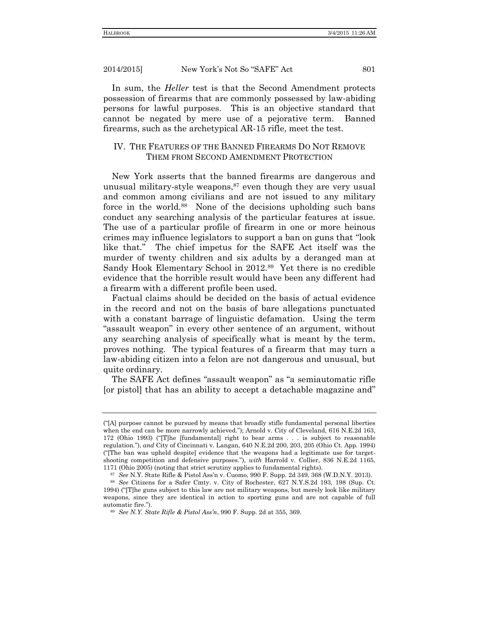In sum, the *Heller* test is that the Second Amendment protects possession of firearms that are commonly possessed by law-abiding persons for lawful purposes. This is an objective standard that cannot be negated by mere use of a pejorative term. Banned firearms, such as the archetypical AR-15 rifle, meet the test.

## IV. THE FEATURES OF THE BANNED FIREARMS DO NOT REMOVE THEM FROM SECOND AMENDMENT PROTECTION

New York asserts that the banned firearms are dangerous and unusual military-style weapons, $87$  even though they are very usual and common among civilians and are not issued to any military force in the world.<sup>88</sup> None of the decisions upholding such bans conduct any searching analysis of the particular features at issue. The use of a particular profile of firearm in one or more heinous crimes may influence legislators to support a ban on guns that "look like that." The chief impetus for the SAFE Act itself was the murder of twenty children and six adults by a deranged man at Sandy Hook Elementary School in 2012.<sup>89</sup> Yet there is no credible evidence that the horrible result would have been any different had a firearm with a different profile been used.

Factual claims should be decided on the basis of actual evidence in the record and not on the basis of bare allegations punctuated with a constant barrage of linguistic defamation. Using the term "assault weapon" in every other sentence of an argument, without any searching analysis of specifically what is meant by the term, proves nothing. The typical features of a firearm that may turn a law-abiding citizen into a felon are not dangerous and unusual, but quite ordinary.

The SAFE Act defines "assault weapon" as "a semiautomatic rifle [or pistol] that has an ability to accept a detachable magazine and"

<sup>(</sup>"[A] purpose cannot be pursued by means that broadly stifle fundamental personal liberties when the end can be more narrowly achieved."); Arnold v. City of Cleveland, 616 N.E.2d 163, 172 (Ohio 1993) ("[T]he [fundamental] right to bear arms . . . is subject to reasonable regulation."), *and* City of Cincinnati v. Langan, 640 N.E.2d 200, 203, 205 (Ohio Ct. App. 1994) ("[The ban was upheld despite] evidence that the weapons had a legitimate use for targetshooting competition and defensive purposes."), *with* Harrold v. Collier, 836 N.E.2d 1165, 1171 (Ohio 2005) (noting that strict scrutiny applies to fundamental rights).

<sup>87</sup> *See* N.Y. State Rifle & Pistol Ass'n v. Cuomo, 990 F. Supp. 2d 349, 368 (W.D.N.Y. 2013).

<sup>88</sup> *See* Citizens for a Safer Cmty. v. City of Rochester, 627 N.Y.S.2d 193, 198 (Sup. Ct. 1994) ("[T]he guns subject to this law are not military weapons, but merely look like military weapons, since they are identical in action to sporting guns and are not capable of full automatic fire.").

<sup>89</sup> *See N.Y. State Rifle & Pistol Ass'n*, 990 F. Supp. 2d at 355, 369.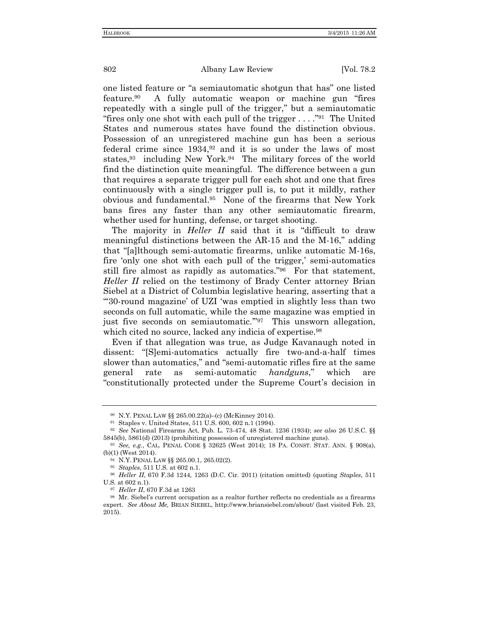one listed feature or "a semiautomatic shotgun that has" one listed feature. 90 A fully automatic weapon or machine gun "fires repeatedly with a single pull of the trigger," but a semiautomatic "fires only one shot with each pull of the trigger . . . ."<sup>91</sup> The United States and numerous states have found the distinction obvious. Possession of an unregistered machine gun has been a serious federal crime since 1934,<sup>92</sup> and it is so under the laws of most states,<sup>93</sup> including New York.<sup>94</sup> The military forces of the world find the distinction quite meaningful. The difference between a gun that requires a separate trigger pull for each shot and one that fires continuously with a single trigger pull is, to put it mildly, rather obvious and fundamental.<sup>95</sup> None of the firearms that New York bans fires any faster than any other semiautomatic firearm, whether used for hunting, defense, or target shooting.

The majority in *Heller II* said that it is "difficult to draw meaningful distinctions between the AR-15 and the M-16," adding that "[a]lthough semi-automatic firearms, unlike automatic M-16s, fire 'only one shot with each pull of the trigger,' semi-automatics still fire almost as rapidly as automatics."<sup>96</sup> For that statement, *Heller II* relied on the testimony of Brady Center attorney Brian Siebel at a District of Columbia legislative hearing, asserting that a "'30-round magazine' of UZI 'was emptied in slightly less than two seconds on full automatic, while the same magazine was emptied in just five seconds on semiautomatic.'" 97 This unsworn allegation, which cited no source, lacked any indicia of expertise.<sup>98</sup>

Even if that allegation was true, as Judge Kavanaugh noted in dissent: "[S]emi-automatics actually fire two-and-a-half times slower than automatics," and "semi-automatic rifles fire at the same general rate as semi-automatic *handguns*," which are "constitutionally protected under the Supreme Court's decision in

<sup>90</sup> N.Y. PENAL LAW §§ 265.00.22(a)–(c) (McKinney 2014).

<sup>91</sup> Staples v. United States, 511 U.S. 600, 602 n.1 (1994).

<sup>92</sup> *See* National Firearms Act, Pub. L. 73-474, 48 Stat. 1236 (1934); *see also* 26 U.S.C. §§ 5845(b), 5861(d) (2013) (prohibiting possession of unregistered machine guns).

<sup>93</sup> *See, e.g.*, CAL. PENAL CODE § 32625 (West 2014); 18 PA. CONST. STAT. ANN. § 908(a), (b)(1) (West 2014).

<sup>94</sup> N.Y. PENAL LAW §§ 265.00.1, 265.02(2).

<sup>95</sup> *Staples*, 511 U.S. at 602 n.1.

<sup>96</sup> *Heller II*, 670 F.3d 1244, 1263 (D.C. Cir. 2011) (citation omitted) (quoting *Staples*, 511 U.S. at 602 n.1).

<sup>97</sup> *Heller II*, 670 F.3d at 1263

<sup>98</sup> Mr. Siebel's current occupation as a realtor further reflects no credentials as a firearms expert. *See About Me,* BRIAN SIEBEL, http://www.briansiebel.com/about/ (last visited Feb. 23, 2015).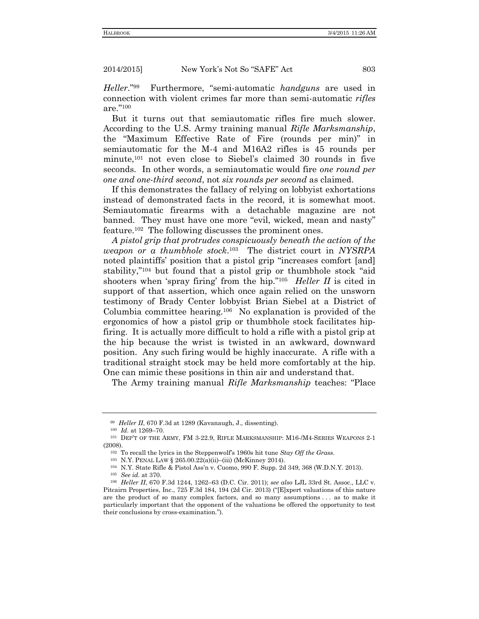*Heller*." 99 Furthermore, "semi-automatic *handguns* are used in connection with violent crimes far more than semi-automatic *rifles* are." 100

But it turns out that semiautomatic rifles fire much slower. According to the U.S. Army training manual *Rifle Marksmanship*, the "Maximum Effective Rate of Fire (rounds per min)" in semiautomatic for the M-4 and M16A2 rifles is 45 rounds per minute,<sup>101</sup> not even close to Siebel's claimed 30 rounds in five seconds. In other words, a semiautomatic would fire *one round per one and one-third second*, not *six rounds per second* as claimed.

If this demonstrates the fallacy of relying on lobbyist exhortations instead of demonstrated facts in the record, it is somewhat moot. Semiautomatic firearms with a detachable magazine are not banned. They must have one more "evil, wicked, mean and nasty" feature.<sup>102</sup> The following discusses the prominent ones.

*A pistol grip that protrudes conspicuously beneath the action of the weapon or a thumbhole stock*. 103 The district court in *NYSRPA* noted plaintiffs' position that a pistol grip "increases comfort [and] stability,"<sup>104</sup> but found that a pistol grip or thumbhole stock "aid shooters when 'spray firing' from the hip."<sup>105</sup> *Heller II* is cited in support of that assertion, which once again relied on the unsworn testimony of Brady Center lobbyist Brian Siebel at a District of Columbia committee hearing.<sup>106</sup> No explanation is provided of the ergonomics of how a pistol grip or thumbhole stock facilitates hipfiring. It is actually more difficult to hold a rifle with a pistol grip at the hip because the wrist is twisted in an awkward, downward position. Any such firing would be highly inaccurate. A rifle with a traditional straight stock may be held more comfortably at the hip. One can mimic these positions in thin air and understand that.

The Army training manual *Rifle Marksmanship* teaches: "Place

<sup>99</sup> *Heller II*, 670 F.3d at 1289 (Kavanaugh, J., dissenting).

<sup>100</sup> *Id.* at 1269–70.

<sup>101</sup> DEP'T OF THE ARMY, FM 3-22.9, RIFLE MARKSMANSHIP: M16-/M4-SERIES WEAPONS 2-1 (2008).

<sup>102</sup> To recall the lyrics in the Steppenwolf's 1960s hit tune *Stay Off the Grass*.

<sup>103</sup> N.Y. PENAL LAW § 265.00.22(a)(ii)–(iii) (McKinney 2014).

<sup>104</sup> N.Y. State Rifle & Pistol Ass'n v. Cuomo, 990 F. Supp. 2d 349, 368 (W.D.N.Y. 2013).

<sup>105</sup> *See id.* at 370.

<sup>106</sup> *Heller II*, 670 F.3d 1244, 1262–63 (D.C. Cir. 2011); *see also* LJL 33rd St. Assoc., LLC v. Pitcairn Properties, Inc., 725 F.3d 184, 194 (2d Cir. 2013) ("[E]xpert valuations of this nature are the product of so many complex factors, and so many assumptions . . . as to make it particularly important that the opponent of the valuations be offered the opportunity to test their conclusions by cross-examination.").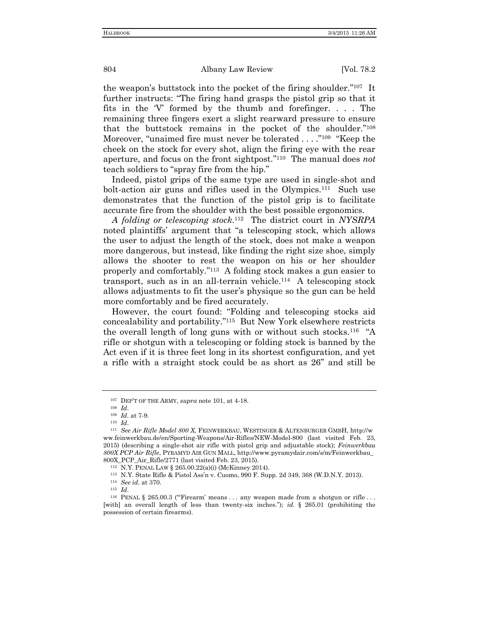the weapon's buttstock into the pocket of the firing shoulder."<sup>107</sup> It further instructs: "The firing hand grasps the pistol grip so that it fits in the 'V' formed by the thumb and forefinger. . . . The remaining three fingers exert a slight rearward pressure to ensure that the buttstock remains in the pocket of the shoulder." 108 Moreover, "unaimed fire must never be tolerated . . . . "<sup>109</sup> "Keep the cheek on the stock for every shot, align the firing eye with the rear aperture, and focus on the front sightpost." 110 The manual does *not* teach soldiers to "spray fire from the hip."

Indeed, pistol grips of the same type are used in single-shot and bolt-action air guns and rifles used in the Olympics.<sup>111</sup> Such use demonstrates that the function of the pistol grip is to facilitate accurate fire from the shoulder with the best possible ergonomics.

*A folding or telescoping stock*. 112 The district court in *NYSRPA* noted plaintiffs' argument that "a telescoping stock, which allows the user to adjust the length of the stock, does not make a weapon more dangerous, but instead, like finding the right size shoe, simply allows the shooter to rest the weapon on his or her shoulder properly and comfortably." 113 A folding stock makes a gun easier to transport, such as in an all-terrain vehicle. 114 A telescoping stock allows adjustments to fit the user's physique so the gun can be held more comfortably and be fired accurately.

However, the court found: "Folding and telescoping stocks aid concealability and portability." 115 But New York elsewhere restricts the overall length of long guns with or without such stocks.<sup>116</sup> "A rifle or shotgun with a telescoping or folding stock is banned by the Act even if it is three feet long in its shortest configuration, and yet a rifle with a straight stock could be as short as 26" and still be

<sup>107</sup> DEP'T OF THE ARMY, *supra* note 101, at 4-18.

<sup>108</sup> *Id*.

<sup>109</sup> *Id*. at 7-9.

<sup>110</sup> *Id*.

<sup>111</sup> *See Air Rifle Model 800 X,* FEINWERKBAU, WESTINGER & ALTENBURGER GMBH, http://w ww.feinwerkbau.de/en/Sporting-Weapons/Air-Rifles/NEW-Model-800 (last visited Feb. 23, 2015) (describing a single-shot air rifle with pistol grip and adjustable stock); *Feinwerkbau 800X PCP Air Rifle*, PYRAMYD AIR GUN MALL, http://www.pyramydair.com/s/m/Feinwerkbau\_ 800X\_PCP\_Air\_Rifle/2771 (last visited Feb. 23, 2015).

<sup>112</sup> N.Y. PENAL LAW § 265.00.22(a)(i) (McKinney 2014).

<sup>113</sup> N.Y. State Rifle & Pistol Ass'n v. Cuomo, 990 F. Supp. 2d 349, 368 (W.D.N.Y. 2013).

<sup>114</sup> *See id.* at 370.

<sup>115</sup> *Id*.

<sup>&</sup>lt;sup>116</sup> PENAL § 265.00.3 ("Firearm' means . . . any weapon made from a shotgun or rifle . . . [with] an overall length of less than twenty-six inches."); *id.* § 265.01 (prohibiting the possession of certain firearms).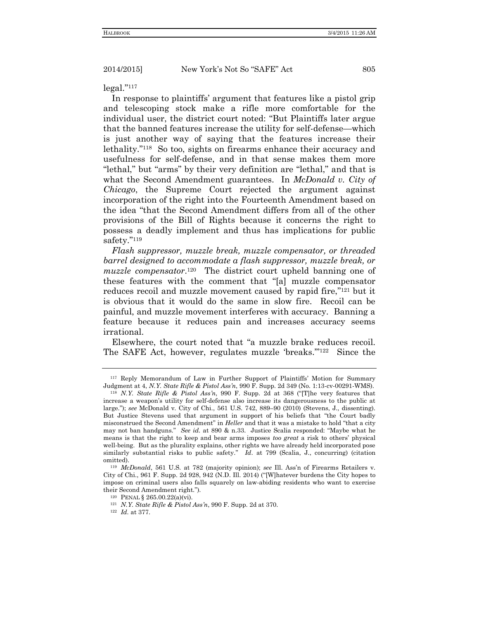legal." 117

In response to plaintiffs' argument that features like a pistol grip and telescoping stock make a rifle more comfortable for the individual user, the district court noted: "But Plaintiffs later argue that the banned features increase the utility for self-defense—which is just another way of saying that the features increase their lethality."<sup>118</sup> So too, sights on firearms enhance their accuracy and usefulness for self-defense, and in that sense makes them more "lethal," but "arms" by their very definition are "lethal," and that is what the Second Amendment guarantees. In *McDonald v. City of Chicago*, the Supreme Court rejected the argument against incorporation of the right into the Fourteenth Amendment based on the idea "that the Second Amendment differs from all of the other provisions of the Bill of Rights because it concerns the right to possess a deadly implement and thus has implications for public safety." 119

*Flash suppressor, muzzle break, muzzle compensator, or threaded barrel designed to accommodate a flash suppressor, muzzle break, or*  muzzle compensator.<sup>120</sup> The district court upheld banning one of these features with the comment that "[a] muzzle compensator reduces recoil and muzzle movement caused by rapid fire,"<sup>121</sup> but it is obvious that it would do the same in slow fire. Recoil can be painful, and muzzle movement interferes with accuracy. Banning a feature because it reduces pain and increases accuracy seems irrational.

Elsewhere, the court noted that "a muzzle brake reduces recoil. The SAFE Act, however, regulates muzzle 'breaks."<sup>122</sup> Since the

<sup>117</sup> Reply Memorandum of Law in Further Support of Plaintiffs' Motion for Summary Judgment at 4, *N.Y. State Rifle & Pistol Ass'n*, 990 F. Supp. 2d 349 (No. 1:13-cv-00291-WMS).

<sup>118</sup> *N.Y. State Rifle & Pistol Ass'n*, 990 F. Supp. 2d at 368 ("[T]he very features that increase a weapon's utility for self-defense also increase its dangerousness to the public at large."); *see* McDonald v. City of Chi., 561 U.S. 742, 889–90 (2010) (Stevens, J., dissenting). But Justice Stevens used that argument in support of his beliefs that "the Court badly misconstrued the Second Amendment" in *Heller* and that it was a mistake to hold "that a city may not ban handguns." *See id*. at 890 & n.33. Justice Scalia responded: "Maybe what he means is that the right to keep and bear arms imposes *too great* a risk to others' physical well-being. But as the plurality explains, other rights we have already held incorporated pose similarly substantial risks to public safety." *Id*. at 799 (Scalia, J., concurring) (citation omitted).

<sup>119</sup> *McDonald*, 561 U.S. at 782 (majority opinion); *see* Ill. Ass'n of Firearms Retailers v. City of Chi., 961 F. Supp. 2d 928, 942 (N.D. Ill. 2014) ("[W]hatever burdens the City hopes to impose on criminal users also falls squarely on law-abiding residents who want to exercise their Second Amendment right.").

<sup>120</sup> PENAL § 265.00.22(a)(vi).

<sup>121</sup> *N.Y. State Rifle & Pistol Ass'n*, 990 F. Supp. 2d at 370.

<sup>122</sup> *Id.* at 377.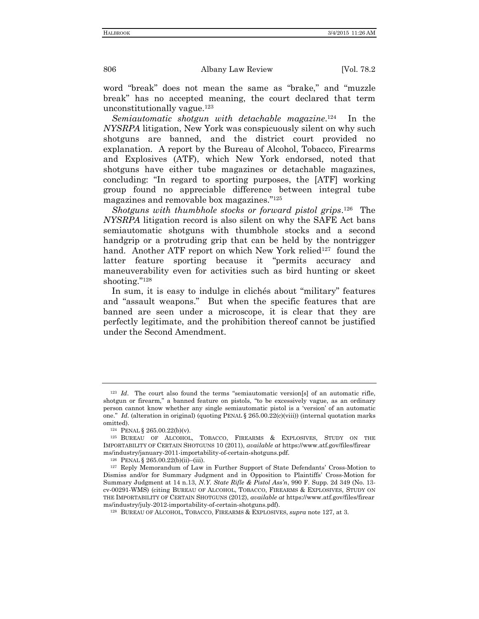word "break" does not mean the same as "brake," and "muzzle break" has no accepted meaning, the court declared that term unconstitutionally vague.<sup>123</sup>

Semiautomatic shotgun with detachable magazine.<sup>124</sup> In the *NYSRPA* litigation, New York was conspicuously silent on why such shotguns are banned, and the district court provided no explanation. A report by the Bureau of Alcohol, Tobacco, Firearms and Explosives (ATF), which New York endorsed, noted that shotguns have either tube magazines or detachable magazines, concluding: "In regard to sporting purposes, the [ATF] working group found no appreciable difference between integral tube magazines and removable box magazines." 125

Shotguns with thumbhole stocks or forward pistol grips.<sup>126</sup> The *NYSRPA* litigation record is also silent on why the SAFE Act bans semiautomatic shotguns with thumbhole stocks and a second handgrip or a protruding grip that can be held by the nontrigger hand. Another ATF report on which New York relied<sup>127</sup> found the latter feature sporting because it "permits accuracy and maneuverability even for activities such as bird hunting or skeet shooting." 128

In sum, it is easy to indulge in clichés about "military" features and "assault weapons." But when the specific features that are banned are seen under a microscope, it is clear that they are perfectly legitimate, and the prohibition thereof cannot be justified under the Second Amendment.

<sup>123</sup> *Id*. The court also found the terms "semiautomatic version[s] of an automatic rifle, shotgun or firearm," a banned feature on pistols, "to be excessively vague, as an ordinary person cannot know whether any single semiautomatic pistol is a 'version' of an automatic one." *Id*. (alteration in original) (quoting PENAL § 265.00.22(c)(viii)) (internal quotation marks omitted).

<sup>124</sup> PENAL § 265.00.22(b)(v).

<sup>125</sup> BUREAU OF ALCOHOL, TOBACCO, FIREARMS & EXPLOSIVES, STUDY ON THE IMPORTABILITY OF CERTAIN SHOTGUNS 10 (2011), *available at* https://www.atf.gov/files/firear ms/industry/january-2011-importability-of-certain-shotguns.pdf.

<sup>126</sup> PENAL § 265.00.22(b)(ii)–(iii).

<sup>127</sup> Reply Memorandum of Law in Further Support of State Defendants' Cross-Motion to Dismiss and/or for Summary Judgment and in Opposition to Plaintiffs' Cross-Motion for Summary Judgment at 14 n.13, *N.Y. State Rifle & Pistol Ass'n*, 990 F. Supp. 2d 349 (No. 13 cv-00291-WMS) (citing BUREAU OF ALCOHOL, TOBACCO, FIREARMS & EXPLOSIVES, STUDY ON THE IMPORTABILITY OF CERTAIN SHOTGUNS (2012), *available at* https://www.atf.gov/files/firear ms/industry/july-2012-importability-of-certain-shotguns.pdf).

<sup>128</sup> BUREAU OF ALCOHOL, TOBACCO, FIREARMS & EXPLOSIVES, *supra* note 127, at 3.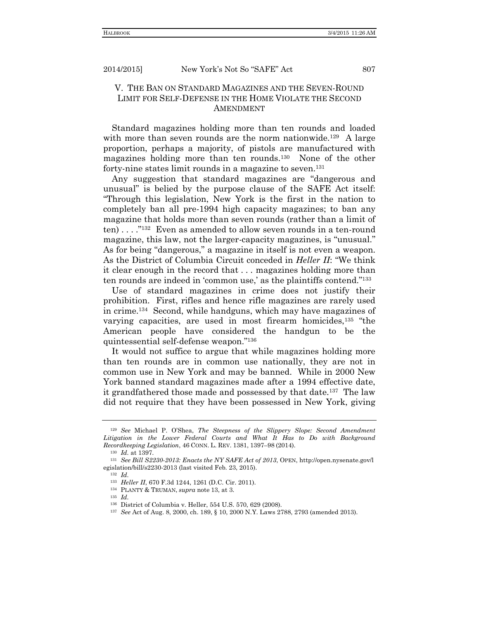## V. THE BAN ON STANDARD MAGAZINES AND THE SEVEN-ROUND LIMIT FOR SELF-DEFENSE IN THE HOME VIOLATE THE SECOND AMENDMENT

Standard magazines holding more than ten rounds and loaded with more than seven rounds are the norm nationwide.<sup>129</sup> A large proportion, perhaps a majority, of pistols are manufactured with magazines holding more than ten rounds.<sup>130</sup> None of the other forty-nine states limit rounds in a magazine to seven.<sup>131</sup>

Any suggestion that standard magazines are "dangerous and unusual" is belied by the purpose clause of the SAFE Act itself: "Through this legislation, New York is the first in the nation to completely ban all pre-1994 high capacity magazines; to ban any magazine that holds more than seven rounds (rather than a limit of ten)....<sup>"132</sup> Even as amended to allow seven rounds in a ten-round magazine, this law, not the larger-capacity magazines, is "unusual." As for being "dangerous," a magazine in itself is not even a weapon. As the District of Columbia Circuit conceded in *Heller II*: "We think it clear enough in the record that . . . magazines holding more than ten rounds are indeed in 'common use,' as the plaintiffs contend." 133

Use of standard magazines in crime does not justify their prohibition. First, rifles and hence rifle magazines are rarely used in crime.<sup>134</sup> Second, while handguns, which may have magazines of varying capacities, are used in most firearm homicides,<sup>135</sup> "the American people have considered the handgun to be the quintessential self-defense weapon." 136

It would not suffice to argue that while magazines holding more than ten rounds are in common use nationally, they are not in common use in New York and may be banned. While in 2000 New York banned standard magazines made after a 1994 effective date, it grandfathered those made and possessed by that date.<sup>137</sup> The law did not require that they have been possessed in New York, giving

<sup>129</sup> *See* Michael P. O'Shea, *The Steepness of the Slippery Slope: Second Amendment*  Litigation in the Lower Federal Courts and What It Has to Do with Background *Recordkeeping Legislation*, 46 CONN. L. REV. 1381, 1397–98 (2014).

<sup>130</sup> *Id.* at 1397.

<sup>131</sup> *See Bill S2230-2013: Enacts the NY SAFE Act of 2013*, OPEN, http://open.nysenate.gov/l egislation/bill/s2230-2013 (last visited Feb. 23, 2015).

<sup>132</sup> *Id.*

<sup>133</sup> *Heller II*, 670 F.3d 1244, 1261 (D.C. Cir. 2011).

<sup>134</sup> PLANTY & TRUMAN, *supra* note 13, at 3.

<sup>135</sup> *Id.*

<sup>136</sup> District of Columbia v. Heller, 554 U.S. 570, 629 (2008).

<sup>137</sup> *See* Act of Aug. 8, 2000, ch. 189, § 10, 2000 N.Y. Laws 2788, 2793 (amended 2013).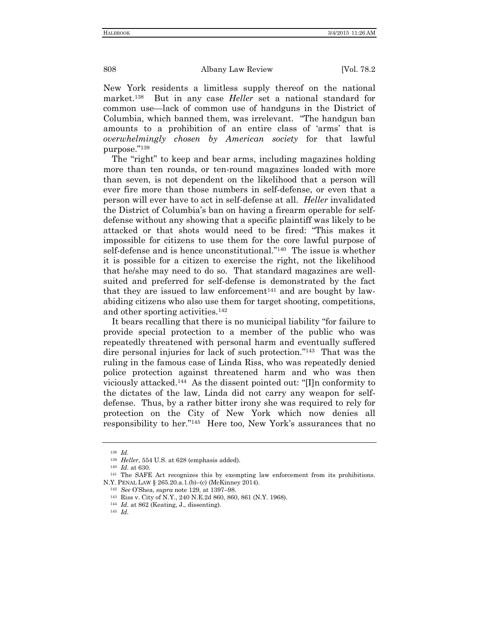New York residents a limitless supply thereof on the national market.<sup>138</sup> But in any case *Heller* set a national standard for common use—lack of common use of handguns in the District of Columbia, which banned them, was irrelevant. "The handgun ban amounts to a prohibition of an entire class of 'arms' that is *overwhelmingly chosen by American society* for that lawful purpose." 139

The "right" to keep and bear arms, including magazines holding more than ten rounds, or ten-round magazines loaded with more than seven, is not dependent on the likelihood that a person will ever fire more than those numbers in self-defense, or even that a person will ever have to act in self-defense at all. *Heller* invalidated the District of Columbia's ban on having a firearm operable for selfdefense without any showing that a specific plaintiff was likely to be attacked or that shots would need to be fired: "This makes it impossible for citizens to use them for the core lawful purpose of self-defense and is hence unconstitutional." 140 The issue is whether it is possible for a citizen to exercise the right, not the likelihood that he/she may need to do so. That standard magazines are wellsuited and preferred for self-defense is demonstrated by the fact that they are issued to law enforcement<sup>141</sup> and are bought by lawabiding citizens who also use them for target shooting, competitions, and other sporting activities.<sup>142</sup>

It bears recalling that there is no municipal liability "for failure to provide special protection to a member of the public who was repeatedly threatened with personal harm and eventually suffered dire personal injuries for lack of such protection." 143 That was the ruling in the famous case of Linda Riss, who was repeatedly denied police protection against threatened harm and who was then viciously attacked.<sup>144</sup> As the dissent pointed out: "[I]n conformity to the dictates of the law, Linda did not carry any weapon for selfdefense. Thus, by a rather bitter irony she was required to rely for protection on the City of New York which now denies all responsibility to her." 145 Here too, New York's assurances that no

<sup>138</sup> *Id.*

<sup>139</sup> *Heller*, 554 U.S. at 628 (emphasis added).

<sup>140</sup> *Id.* at 630.

<sup>&</sup>lt;sup>141</sup> The SAFE Act recognizes this by exempting law enforcement from its prohibitions. N.Y. PENAL LAW § 265.20.a.1.(b)–(c) (McKinney 2014).

<sup>142</sup> *See* O'Shea, *supra* note 129, at 1397–98.

<sup>143</sup> Riss v. City of N.Y., 240 N.E.2d 860, 860, 861 (N.Y. 1968).

<sup>144</sup> *Id.* at 862 (Keating, J., dissenting).

<sup>145</sup> *Id.*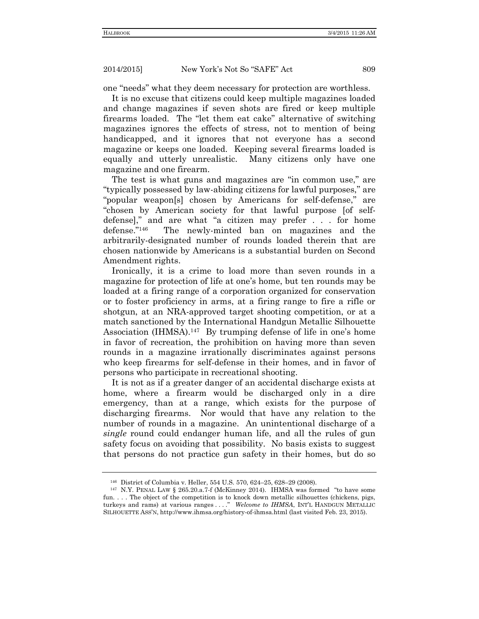one "needs" what they deem necessary for protection are worthless.

It is no excuse that citizens could keep multiple magazines loaded and change magazines if seven shots are fired or keep multiple firearms loaded. The "let them eat cake" alternative of switching magazines ignores the effects of stress, not to mention of being handicapped, and it ignores that not everyone has a second magazine or keeps one loaded. Keeping several firearms loaded is equally and utterly unrealistic. Many citizens only have one magazine and one firearm.

The test is what guns and magazines are "in common use," are "typically possessed by law-abiding citizens for lawful purposes," are "popular weapon[s] chosen by Americans for self-defense," are "chosen by American society for that lawful purpose [of selfdefense]," and are what "a citizen may prefer . . . for home defense." 146 The newly-minted ban on magazines and the arbitrarily-designated number of rounds loaded therein that are chosen nationwide by Americans is a substantial burden on Second Amendment rights.

Ironically, it is a crime to load more than seven rounds in a magazine for protection of life at one's home, but ten rounds may be loaded at a firing range of a corporation organized for conservation or to foster proficiency in arms, at a firing range to fire a rifle or shotgun, at an NRA-approved target shooting competition, or at a match sanctioned by the International Handgun Metallic Silhouette Association (IHMSA).<sup>147</sup> By trumping defense of life in one's home in favor of recreation, the prohibition on having more than seven rounds in a magazine irrationally discriminates against persons who keep firearms for self-defense in their homes, and in favor of persons who participate in recreational shooting.

It is not as if a greater danger of an accidental discharge exists at home, where a firearm would be discharged only in a dire emergency, than at a range, which exists for the purpose of discharging firearms. Nor would that have any relation to the number of rounds in a magazine. An unintentional discharge of a *single* round could endanger human life, and all the rules of gun safety focus on avoiding that possibility. No basis exists to suggest that persons do not practice gun safety in their homes, but do so

<sup>146</sup> District of Columbia v. Heller, 554 U.S. 570, 624–25, 628–29 (2008).

<sup>147</sup> N.Y. PENAL LAW § 265.20.a.7-f (McKinney 2014). IHMSA was formed "to have some fun. . . . The object of the competition is to knock down metallic silhouettes (chickens, pigs, turkeys and rams) at various ranges . . . ." *Welcome to IHMSA*, INT'L HANDGUN METALLIC SILHOUETTE ASS'N, http://www.ihmsa.org/history-of-ihmsa.html (last visited Feb. 23, 2015).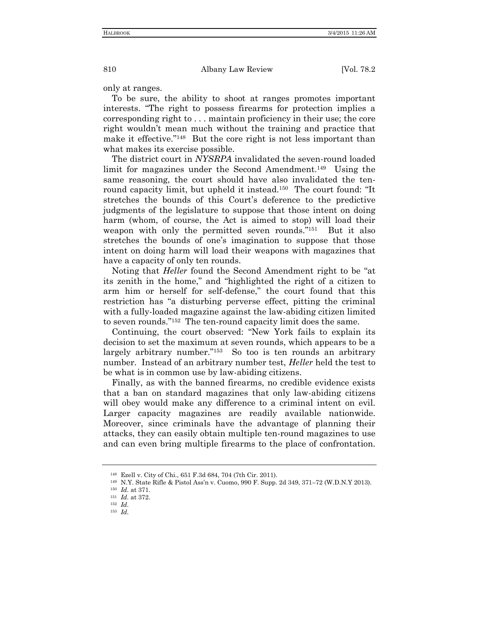only at ranges.

To be sure, the ability to shoot at ranges promotes important interests. "The right to possess firearms for protection implies a corresponding right to . . . maintain proficiency in their use; the core right wouldn't mean much without the training and practice that make it effective." 148 But the core right is not less important than what makes its exercise possible.

The district court in *NYSRPA* invalidated the seven-round loaded limit for magazines under the Second Amendment.<sup>149</sup> Using the same reasoning, the court should have also invalidated the tenround capacity limit, but upheld it instead.<sup>150</sup> The court found: "It stretches the bounds of this Court's deference to the predictive judgments of the legislature to suppose that those intent on doing harm (whom, of course, the Act is aimed to stop) will load their weapon with only the permitted seven rounds."<sup>151</sup> But it also stretches the bounds of one's imagination to suppose that those intent on doing harm will load their weapons with magazines that have a capacity of only ten rounds.

Noting that *Heller* found the Second Amendment right to be "at its zenith in the home," and "highlighted the right of a citizen to arm him or herself for self-defense," the court found that this restriction has "a disturbing perverse effect, pitting the criminal with a fully-loaded magazine against the law-abiding citizen limited to seven rounds." 152 The ten-round capacity limit does the same.

Continuing, the court observed: "New York fails to explain its decision to set the maximum at seven rounds, which appears to be a largely arbitrary number." 153 So too is ten rounds an arbitrary number. Instead of an arbitrary number test, *Heller* held the test to be what is in common use by law-abiding citizens.

Finally, as with the banned firearms, no credible evidence exists that a ban on standard magazines that only law-abiding citizens will obey would make any difference to a criminal intent on evil. Larger capacity magazines are readily available nationwide. Moreover, since criminals have the advantage of planning their attacks, they can easily obtain multiple ten-round magazines to use and can even bring multiple firearms to the place of confrontation.

<sup>148</sup> Ezell v. City of Chi., 651 F.3d 684, 704 (7th Cir. 2011).

<sup>149</sup> N.Y. State Rifle & Pistol Ass'n v. Cuomo, 990 F. Supp. 2d 349, 371–72 (W.D.N.Y 2013).

<sup>150</sup> *Id.* at 371.

<sup>151</sup> *Id.* at 372.

<sup>152</sup> *Id.*

<sup>153</sup> *Id.*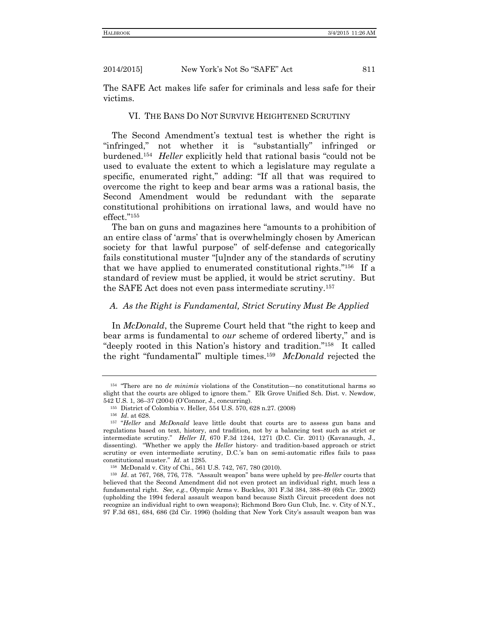The SAFE Act makes life safer for criminals and less safe for their victims.

#### VI. THE BANS DO NOT SURVIVE HEIGHTENED SCRUTINY

The Second Amendment's textual test is whether the right is "infringed," not whether it is "substantially" infringed or burdened.<sup>154</sup> *Heller* explicitly held that rational basis "could not be used to evaluate the extent to which a legislature may regulate a specific, enumerated right," adding: "If all that was required to overcome the right to keep and bear arms was a rational basis, the Second Amendment would be redundant with the separate constitutional prohibitions on irrational laws, and would have no effect." 155

The ban on guns and magazines here "amounts to a prohibition of an entire class of 'arms' that is overwhelmingly chosen by American society for that lawful purpose" of self-defense and categorically fails constitutional muster "[u]nder any of the standards of scrutiny that we have applied to enumerated constitutional rights." 156 If a standard of review must be applied, it would be strict scrutiny. But the SAFE Act does not even pass intermediate scrutiny.<sup>157</sup>

### *A. As the Right is Fundamental, Strict Scrutiny Must Be Applied*

In *McDonald*, the Supreme Court held that "the right to keep and bear arms is fundamental to *our* scheme of ordered liberty," and is "deeply rooted in this Nation's history and tradition."<sup>158</sup> It called the right "fundamental" multiple times.<sup>159</sup> *McDonald* rejected the

<sup>154</sup> "There are no *de minimis* violations of the Constitution—no constitutional harms so slight that the courts are obliged to ignore them." Elk Grove Unified Sch. Dist. v. Newdow, 542 U.S. 1, 36–37 (2004) (O'Connor, J., concurring).

<sup>155</sup> District of Colombia v. Heller, 554 U.S. 570, 628 n.27. (2008)

<sup>156</sup> *Id*. at 628.

<sup>157</sup> "*Heller* and *McDonald* leave little doubt that courts are to assess gun bans and regulations based on text, history, and tradition, not by a balancing test such as strict or intermediate scrutiny." *Heller II*, 670 F.3d 1244, 1271 (D.C. Cir. 2011) (Kavanaugh, J., dissenting). "Whether we apply the *Heller* history- and tradition-based approach or strict scrutiny or even intermediate scrutiny, D.C.'s ban on semi-automatic rifles fails to pass constitutional muster." *Id*. at 1285.

<sup>158</sup> McDonald v. City of Chi., 561 U.S. 742, 767, 780 (2010).

<sup>159</sup> *Id*. at 767, 768, 776, 778. "Assault weapon" bans were upheld by pre-*Heller* courts that believed that the Second Amendment did not even protect an individual right, much less a fundamental right. *See, e.g.*, Olympic Arms v. Buckles, 301 F.3d 384, 388–89 (6th Cir. 2002) (upholding the 1994 federal assault weapon band because Sixth Circuit precedent does not recognize an individual right to own weapons); Richmond Boro Gun Club, Inc. v. City of N.Y., 97 F.3d 681, 684, 686 (2d Cir. 1996) (holding that New York City's assault weapon ban was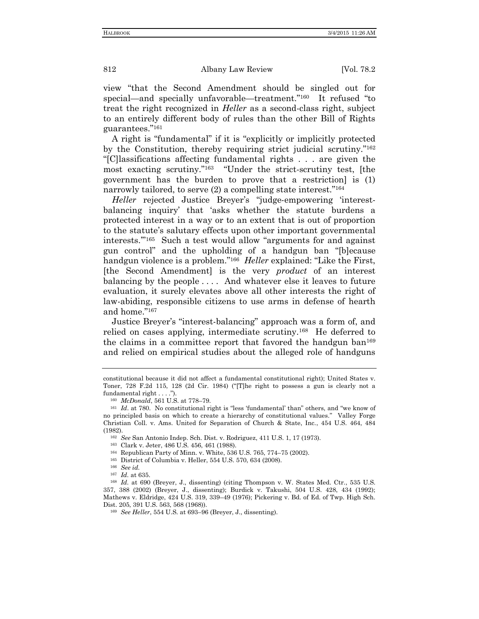view "that the Second Amendment should be singled out for special—and specially unfavorable—treatment."<sup>160</sup> It refused "to treat the right recognized in *Heller* as a second-class right, subject to an entirely different body of rules than the other Bill of Rights guarantees."<sup>161</sup>

A right is "fundamental" if it is "explicitly or implicitly protected by the Constitution, thereby requiring strict judicial scrutiny." 162 "[C]lassifications affecting fundamental rights . . . are given the most exacting scrutiny." 163 "Under the strict-scrutiny test, [the government has the burden to prove that a restriction] is (1) narrowly tailored, to serve (2) a compelling state interest."<sup>164</sup>

*Heller* rejected Justice Breyer's "judge-empowering 'interestbalancing inquiry' that 'asks whether the statute burdens a protected interest in a way or to an extent that is out of proportion to the statute's salutary effects upon other important governmental interests.'" 165 Such a test would allow "arguments for and against gun control" and the upholding of a handgun ban "[b]ecause handgun violence is a problem."<sup>166</sup> *Heller* explained: "Like the First, [the Second Amendment] is the very *product* of an interest balancing by the people . . . . And whatever else it leaves to future evaluation, it surely elevates above all other interests the right of law-abiding, responsible citizens to use arms in defense of hearth and home." 167

Justice Breyer's "interest-balancing" approach was a form of, and relied on cases applying, intermediate scrutiny.<sup>168</sup> He deferred to the claims in a committee report that favored the handgun ban<sup>169</sup> and relied on empirical studies about the alleged role of handguns

constitutional because it did not affect a fundamental constitutional right); United States v. Toner, 728 F.2d 115, 128 (2d Cir. 1984) ("[T]he right to possess a gun is clearly not a fundamental right . . . .").

<sup>160</sup> *McDonald*, 561 U.S. at 778–79.

<sup>161</sup> *Id*. at 780. No constitutional right is "less 'fundamental' than" others, and "we know of no principled basis on which to create a hierarchy of constitutional values." Valley Forge Christian Coll. v. Ams. United for Separation of Church & State, Inc., 454 U.S. 464, 484 (1982).

<sup>162</sup> *See* San Antonio Indep. Sch. Dist. v. Rodriguez, 411 U.S. 1, 17 (1973).

<sup>163</sup> Clark v. Jeter, 486 U.S. 456, 461 (1988).

<sup>164</sup> Republican Party of Minn. v. White, 536 U.S. 765, 774–75 (2002).

<sup>165</sup> District of Columbia v. Heller, 554 U.S. 570, 634 (2008).

<sup>166</sup> *See id.*

<sup>167</sup> *Id.* at 635.

<sup>168</sup> *Id.* at 690 (Breyer, J., dissenting) (citing Thompson v. W. States Med. Ctr., 535 U.S. 357, 388 (2002) (Breyer, J., dissenting); Burdick v. Takushi, 504 U.S. 428, 434 (1992); Mathews v. Eldridge, 424 U.S. 319, 339–49 (1976); Pickering v. Bd. of Ed. of Twp. High Sch. Dist. 205, 391 U.S. 563, 568 (1968)).

<sup>169</sup> *See Heller*, 554 U.S. at 693–96 (Breyer, J., dissenting).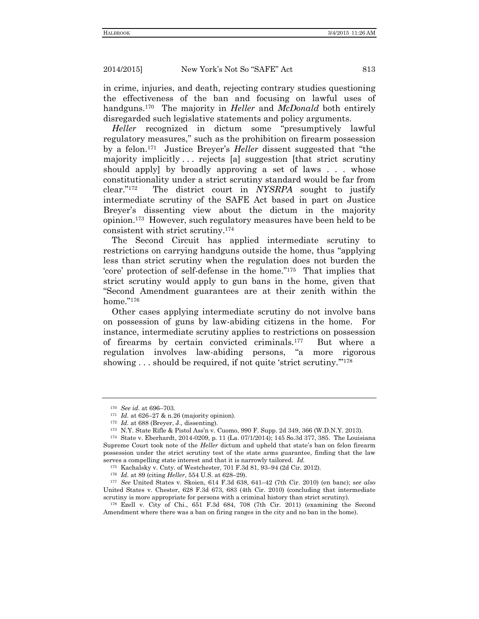in crime, injuries, and death, rejecting contrary studies questioning the effectiveness of the ban and focusing on lawful uses of handguns.<sup>170</sup> The majority in *Heller* and *McDonald* both entirely disregarded such legislative statements and policy arguments.

*Heller* recognized in dictum some "presumptively lawful regulatory measures," such as the prohibition on firearm possession by a felon.<sup>171</sup> Justice Breyer's *Heller* dissent suggested that "the majority implicitly . . . rejects [a] suggestion [that strict scrutiny should apply] by broadly approving a set of laws . . . whose constitutionality under a strict scrutiny standard would be far from clear." 172 The district court in *NYSRPA* sought to justify intermediate scrutiny of the SAFE Act based in part on Justice Breyer's dissenting view about the dictum in the majority opinion.<sup>173</sup> However, such regulatory measures have been held to be consistent with strict scrutiny.<sup>174</sup>

The Second Circuit has applied intermediate scrutiny to restrictions on carrying handguns outside the home, thus "applying less than strict scrutiny when the regulation does not burden the 'core' protection of self-defense in the home." 175 That implies that strict scrutiny would apply to gun bans in the home, given that "Second Amendment guarantees are at their zenith within the home." 176

Other cases applying intermediate scrutiny do not involve bans on possession of guns by law-abiding citizens in the home. For instance, intermediate scrutiny applies to restrictions on possession of firearms by certain convicted criminals.<sup>177</sup> But where a regulation involves law-abiding persons, "a more rigorous showing . . . should be required, if not quite 'strict scrutiny."<sup>178</sup>

<sup>170</sup> *See id.* at 696–703.

<sup>171</sup> *Id.* at 626–27 & n.26 (majority opinion).

<sup>172</sup> *Id.* at 688 (Breyer, J., dissenting).

<sup>173</sup> N.Y. State Rifle & Pistol Ass'n v. Cuomo, 990 F. Supp. 2d 349, 366 (W.D.N.Y. 2013).

<sup>174</sup> State v. Eberhardt, 2014-0209, p. 11 (La. 07/1/2014); 145 So.3d 377, 385. The Louisiana Supreme Court took note of the *Heller* dictum and upheld that state's ban on felon firearm possession under the strict scrutiny test of the state arms guarantee, finding that the law serves a compelling state interest and that it is narrowly tailored. *Id.*

<sup>175</sup> Kachalsky v. Cnty. of Westchester, 701 F.3d 81, 93–94 (2d Cir. 2012).

<sup>176</sup> *Id.* at 89 (citing *Heller*, 554 U.S. at 628–29).

<sup>177</sup> *See* United States v. Skoien, 614 F.3d 638, 641–42 (7th Cir. 2010) (en banc); s*ee also* United States v. Chester, 628 F.3d 673, 683 (4th Cir. 2010) (concluding that intermediate scrutiny is more appropriate for persons with a criminal history than strict scrutiny).

<sup>178</sup> Ezell v. City of Chi., 651 F.3d 684, 708 (7th Cir. 2011) (examining the Second Amendment where there was a ban on firing ranges in the city and no ban in the home).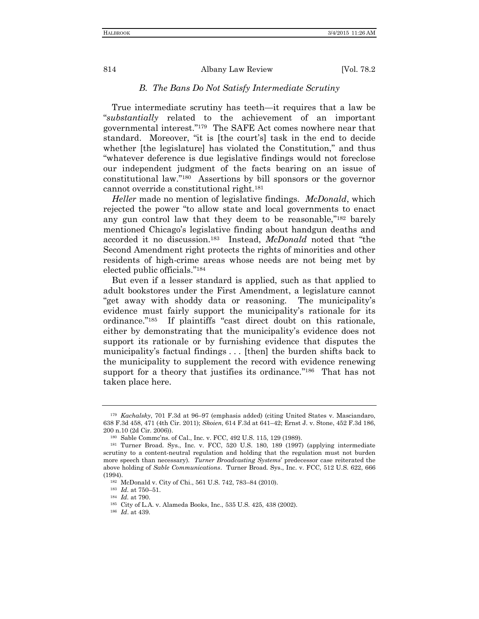### *B. The Bans Do Not Satisfy Intermediate Scrutiny*

True intermediate scrutiny has teeth—it requires that a law be "*substantially* related to the achievement of an important governmental interest." 179 The SAFE Act comes nowhere near that standard. Moreover, "it is [the court's] task in the end to decide whether [the legislature] has violated the Constitution," and thus "whatever deference is due legislative findings would not foreclose our independent judgment of the facts bearing on an issue of constitutional law." 180 Assertions by bill sponsors or the governor cannot override a constitutional right.<sup>181</sup>

*Heller* made no mention of legislative findings. *McDonald*, which rejected the power "to allow state and local governments to enact any gun control law that they deem to be reasonable," <sup>182</sup> barely mentioned Chicago's legislative finding about handgun deaths and accorded it no discussion.<sup>183</sup> Instead, *McDonald* noted that "the Second Amendment right protects the rights of minorities and other residents of high-crime areas whose needs are not being met by elected public officials." 184

But even if a lesser standard is applied, such as that applied to adult bookstores under the First Amendment, a legislature cannot "get away with shoddy data or reasoning. The municipality's evidence must fairly support the municipality's rationale for its ordinance." 185 If plaintiffs "cast direct doubt on this rationale, either by demonstrating that the municipality's evidence does not support its rationale or by furnishing evidence that disputes the municipality's factual findings . . . [then] the burden shifts back to the municipality to supplement the record with evidence renewing support for a theory that justifies its ordinance."<sup>186</sup> That has not taken place here.

<sup>179</sup> *Kachalsky*, 701 F.3d at 96–97 (emphasis added) (citing United States v. Masciandaro, 638 F.3d 458, 471 (4th Cir. 2011); *Skoien*, 614 F.3d at 641–42; Ernst J. v. Stone, 452 F.3d 186, 200 n.10 (2d Cir. 2006)).

<sup>180</sup> Sable Commc'ns. of Cal., Inc. v. FCC, 492 U.S. 115, 129 (1989).

<sup>181</sup> Turner Broad. Sys., Inc. v. FCC, 520 U.S. 180, 189 (1997) (applying intermediate scrutiny to a content-neutral regulation and holding that the regulation must not burden more speech than necessary). *Turner Broadcasting Systems*' predecessor case reiterated the above holding of *Sable Communications*. Turner Broad. Sys., Inc. v. FCC, 512 U.S. 622, 666 (1994).

<sup>182</sup> McDonald v. City of Chi., 561 U.S. 742, 783–84 (2010).

<sup>183</sup> *Id.* at 750–51.

<sup>184</sup> *Id.* at 790.

<sup>185</sup> City of L.A. v. Alameda Books, Inc., 535 U.S. 425, 438 (2002).

<sup>186</sup> *Id*. at 439.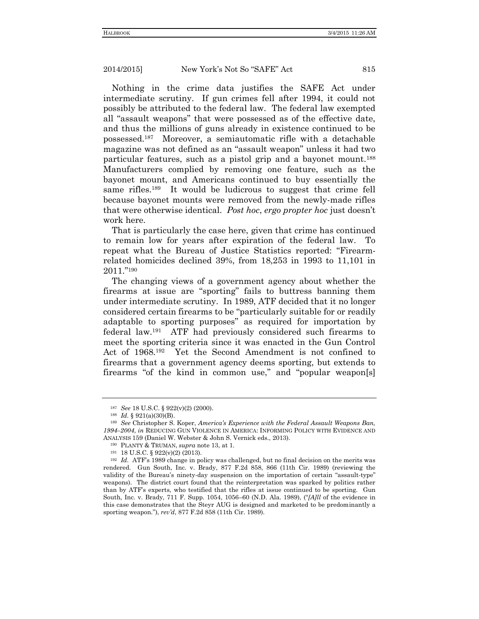Nothing in the crime data justifies the SAFE Act under intermediate scrutiny. If gun crimes fell after 1994, it could not possibly be attributed to the federal law. The federal law exempted all "assault weapons" that were possessed as of the effective date, and thus the millions of guns already in existence continued to be possessed.<sup>187</sup> Moreover, a semiautomatic rifle with a detachable magazine was not defined as an "assault weapon" unless it had two particular features, such as a pistol grip and a bayonet mount.<sup>188</sup> Manufacturers complied by removing one feature, such as the bayonet mount, and Americans continued to buy essentially the same rifles.<sup>189</sup> It would be ludicrous to suggest that crime fell because bayonet mounts were removed from the newly-made rifles that were otherwise identical. *Post hoc*, *ergo propter hoc* just doesn't work here.

That is particularly the case here, given that crime has continued to remain low for years after expiration of the federal law. To repeat what the Bureau of Justice Statistics reported: "Firearmrelated homicides declined 39%, from 18,253 in 1993 to 11,101 in 2011." 190

The changing views of a government agency about whether the firearms at issue are "sporting" fails to buttress banning them under intermediate scrutiny. In 1989, ATF decided that it no longer considered certain firearms to be "particularly suitable for or readily adaptable to sporting purposes" as required for importation by federal law.<sup>191</sup> ATF had previously considered such firearms to meet the sporting criteria since it was enacted in the Gun Control Act of 1968.<sup>192</sup> Yet the Second Amendment is not confined to firearms that a government agency deems sporting, but extends to firearms "of the kind in common use," and "popular weapon[s]

<sup>187</sup> *See* 18 U.S.C. § 922(v)(2) (2000).

<sup>188</sup> *Id.* § 921(a)(30)(B).

<sup>189</sup> *See* Christopher S. Koper, *America's Experience with the Federal Assault Weapons Ban, 1994–2004*, *in* REDUCING GUN VIOLENCE IN AMERICA: INFORMING POLICY WITH EVIDENCE AND ANALYSIS 159 (Daniel W. Webster & John S. Vernick eds., 2013).

<sup>190</sup> PLANTY & TRUMAN, *supra* note 13, at 1.

<sup>191</sup> 18 U.S.C. § 922(v)(2) (2013).

<sup>192</sup> *Id.* ATF's 1989 change in policy was challenged, but no final decision on the merits was rendered. Gun South, Inc. v. Brady, 877 F.2d 858, 866 (11th Cir. 1989) (reviewing the validity of the Bureau's ninety-day suspension on the importation of certain "assault-type" weapons). The district court found that the reinterpretation was sparked by politics rather than by ATF's experts, who testified that the rifles at issue continued to be sporting. Gun South, Inc. v. Brady, 711 F. Supp. 1054, 1056–60 (N.D. Ala. 1989), ("*[A]ll* of the evidence in this case demonstrates that the Steyr AUG is designed and marketed to be predominantly a sporting weapon."), *rev'd*, 877 F.2d 858 (11th Cir. 1989).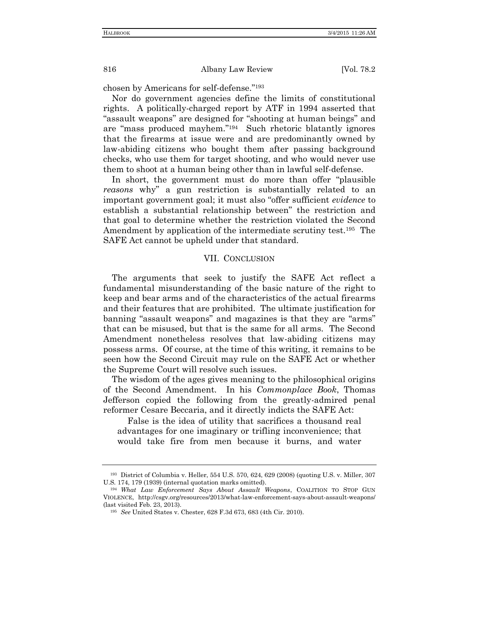chosen by Americans for self-defense." 193

Nor do government agencies define the limits of constitutional rights. A politically-charged report by ATF in 1994 asserted that "assault weapons" are designed for "shooting at human beings" and are "mass produced mayhem." 194 Such rhetoric blatantly ignores that the firearms at issue were and are predominantly owned by law-abiding citizens who bought them after passing background checks, who use them for target shooting, and who would never use them to shoot at a human being other than in lawful self-defense.

In short, the government must do more than offer "plausible *reasons* why" a gun restriction is substantially related to an important government goal; it must also "offer sufficient *evidence* to establish a substantial relationship between" the restriction and that goal to determine whether the restriction violated the Second Amendment by application of the intermediate scrutiny test.<sup>195</sup> The SAFE Act cannot be upheld under that standard.

#### VII. CONCLUSION

The arguments that seek to justify the SAFE Act reflect a fundamental misunderstanding of the basic nature of the right to keep and bear arms and of the characteristics of the actual firearms and their features that are prohibited. The ultimate justification for banning "assault weapons" and magazines is that they are "arms" that can be misused, but that is the same for all arms. The Second Amendment nonetheless resolves that law-abiding citizens may possess arms. Of course, at the time of this writing, it remains to be seen how the Second Circuit may rule on the SAFE Act or whether the Supreme Court will resolve such issues.

The wisdom of the ages gives meaning to the philosophical origins of the Second Amendment. In his *Commonplace Book*, Thomas Jefferson copied the following from the greatly-admired penal reformer Cesare Beccaria, and it directly indicts the SAFE Act:

False is the idea of utility that sacrifices a thousand real advantages for one imaginary or trifling inconvenience; that would take fire from men because it burns, and water

<sup>193</sup> District of Columbia v. Heller, 554 U.S. 570, 624, 629 (2008) (quoting U.S. v. Miller, 307 U.S. 174, 179 (1939) (internal quotation marks omitted).

<sup>194</sup> *What Law Enforcement Says About Assault Weapons*, COALITION TO STOP GUN VIOLENCE, http://csgv.org/resources/2013/what-law-enforcement-says-about-assault-weapons/ (last visited Feb. 23, 2013).

<sup>195</sup> *See* United States v. Chester, 628 F.3d 673, 683 (4th Cir. 2010).